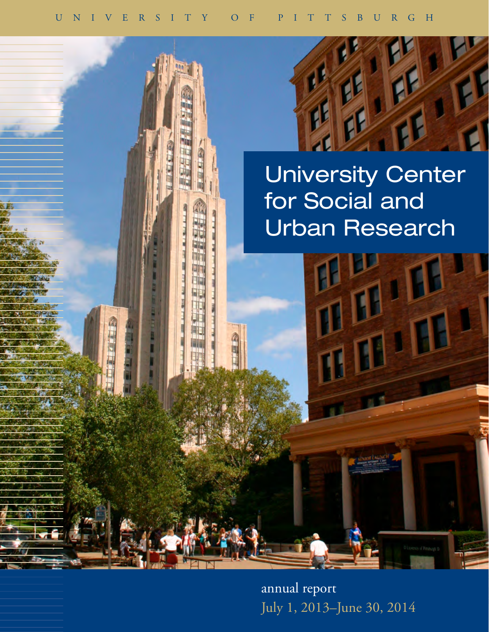

for Social and Urban Research

annual report July 1, 2013–June 30, 2014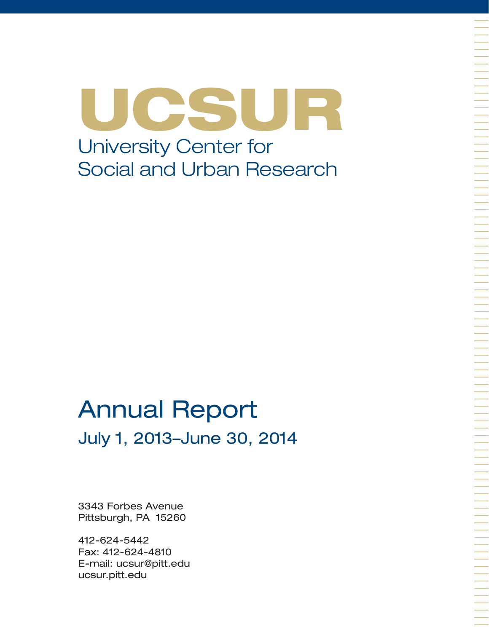UCSUR University Center for Social and Urban Research

# Annual Report July 1, 2013–June 30, 2014

3343 Forbes Avenue Pittsburgh, PA 15260

412-624-5442 Fax: 412-624-4810 E-mail: ucsur@pitt.edu ucsur.pitt.edu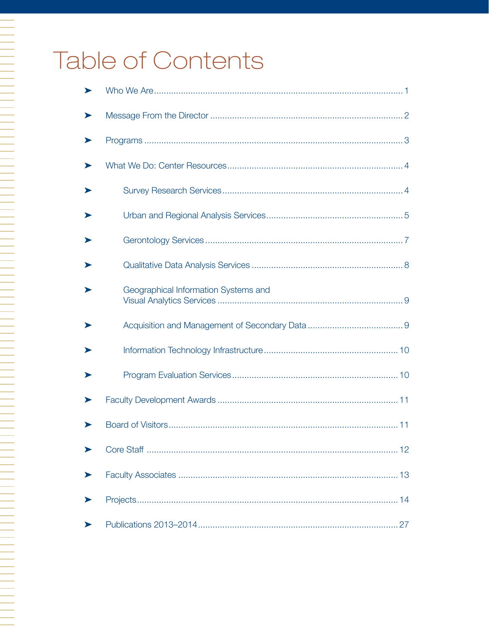# Table of Contents

A TALAH PERSEMBAN PERSEMBAN PERSEMBAN PERSEMBAN PERSEMBAN PERSEMBAN PERSEMBAN PERSEMBAN PERSEMBAN PERSEMBAN PE<br>Persemaan persemban persemban persemban persemban persemban persemban persemban persemban persemban persemban

| ⋗ |                                      |
|---|--------------------------------------|
|   |                                      |
|   |                                      |
| ⋗ |                                      |
|   |                                      |
|   |                                      |
|   |                                      |
|   | Geographical Information Systems and |
|   |                                      |
|   |                                      |
|   |                                      |
|   |                                      |
|   |                                      |
|   |                                      |
|   |                                      |
|   |                                      |
|   |                                      |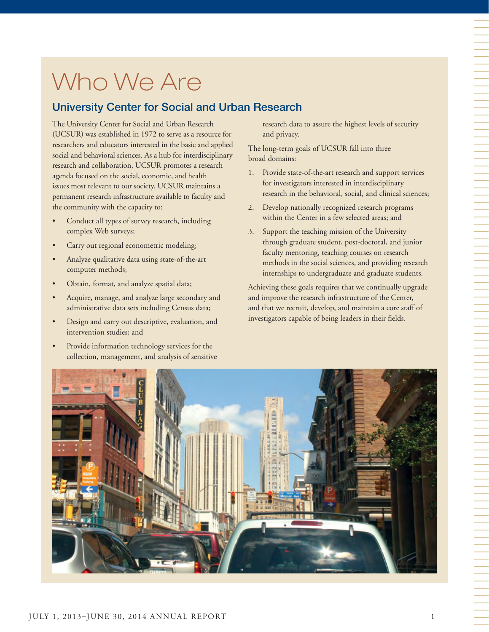# Who We Are

# University Center for Social and Urban Research

The University Center for Social and Urban Research (UCSUR) was established in 1972 to serve as a resource for researchers and educators interested in the basic and applied social and behavioral sciences. As a hub for interdisciplinary research and collaboration, UCSUR promotes a research agenda focused on the social, economic, and health issues most relevant to our society. UCSUR maintains a permanent research infrastructure available to faculty and the community with the capacity to:

- Conduct all types of survey research, including complex Web surveys;
- Carry out regional econometric modeling;
- Analyze qualitative data using state-of-the-art computer methods;
- Obtain, format, and analyze spatial data;
- Acquire, manage, and analyze large secondary and administrative data sets including Census data;
- Design and carry out descriptive, evaluation, and intervention studies; and
- Provide information technology services for the collection, management, and analysis of sensitive

research data to assure the highest levels of security and privacy.

The long-term goals of UCSUR fall into three broad domains:

- 1. Provide state-of-the-art research and support services for investigators interested in interdisciplinary research in the behavioral, social, and clinical sciences;
- 2. Develop nationally recognized research programs within the Center in a few selected areas; and
- 3. Support the teaching mission of the University through graduate student, post-doctoral, and junior faculty mentoring, teaching courses on research methods in the social sciences, and providing research internships to undergraduate and graduate students.

Achieving these goals requires that we continually upgrade and improve the research infrastructure of the Center, and that we recruit, develop, and maintain a core staff of investigators capable of being leaders in their fields.

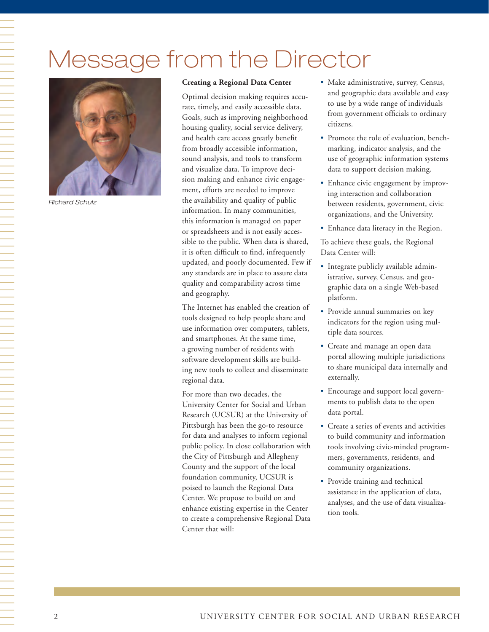# Message from the Director



*Richard Schulz*

#### **Creating a Regional Data Center**

Optimal decision making requires accurate, timely, and easily accessible data. Goals, such as improving neighborhood housing quality, social service delivery, and health care access greatly benefit from broadly accessible information, sound analysis, and tools to transform and visualize data. To improve decision making and enhance civic engagement, efforts are needed to improve the availability and quality of public information. In many communities, this information is managed on paper or spreadsheets and is not easily accessible to the public. When data is shared, it is often difficult to find, infrequently updated, and poorly documented. Few if any standards are in place to assure data quality and comparability across time and geography.

The Internet has enabled the creation of tools designed to help people share and use information over computers, tablets, and smartphones. At the same time, a growing number of residents with software development skills are building new tools to collect and disseminate regional data.

For more than two decades, the University Center for Social and Urban Research (UCSUR) at the University of Pittsburgh has been the go-to resource for data and analyses to inform regional public policy. In close collaboration with the City of Pittsburgh and Allegheny County and the support of the local foundation community, UCSUR is poised to launch the Regional Data Center. We propose to build on and enhance existing expertise in the Center to create a comprehensive Regional Data Center that will:

- Make administrative, survey, Census, and geographic data available and easy to use by a wide range of individuals from government officials to ordinary citizens.
- Promote the role of evaluation, benchmarking, indicator analysis, and the use of geographic information systems data to support decision making.
- Enhance civic engagement by improving interaction and collaboration between residents, government, civic organizations, and the University.
- Enhance data literacy in the Region.

To achieve these goals, the Regional Data Center will:

- Integrate publicly available administrative, survey, Census, and geographic data on a single Web-based platform.
- Provide annual summaries on key indicators for the region using multiple data sources.
- Create and manage an open data portal allowing multiple jurisdictions to share municipal data internally and externally.
- Encourage and support local governments to publish data to the open data portal.
- Create a series of events and activities to build community and information tools involving civic-minded programmers, governments, residents, and community organizations.
- Provide training and technical assistance in the application of data, analyses, and the use of data visualization tools.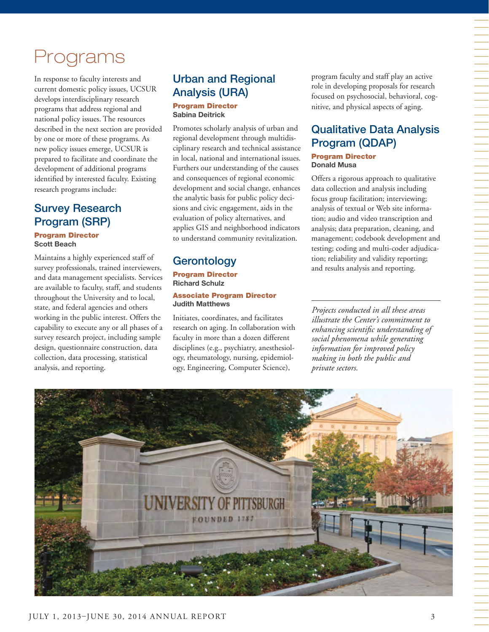# Programs

In response to faculty interests and current domestic policy issues, UCSUR develops interdisciplinary research programs that address regional and national policy issues. The resources described in the next section are provided by one or more of these programs. As new policy issues emerge, UCSUR is prepared to facilitate and coordinate the development of additional programs identified by interested faculty. Existing research programs include:

# Survey Research Program (SRP)

#### Program Director **Scott Beach**

Maintains a highly experienced staff of survey professionals, trained interviewers, and data management specialists. Services are available to faculty, staff, and students throughout the University and to local, state, and federal agencies and others working in the public interest. Offers the capability to execute any or all phases of a survey research project, including sample design, questionnaire construction, data collection, data processing, statistical analysis, and reporting.

# Urban and Regional Analysis (URA) Program Director

**Sabina Deitrick**

Promotes scholarly analysis of urban and regional development through multidisciplinary research and technical assistance in local, national and international issues. Furthers our understanding of the causes and consequences of regional economic development and social change, enhances the analytic basis for public policy decisions and civic engagement, aids in the evaluation of policy alternatives, and applies GIS and neighborhood indicators to understand community revitalization.

# **Gerontology**

Program Director **Richard Schulz**

#### Associate Program Director **Judith Matthews**

Initiates, coordinates, and facilitates research on aging. In collaboration with faculty in more than a dozen different disciplines (e.g., psychiatry, anesthesiology, rheumatology, nursing, epidemiology, Engineering, Computer Science),

program faculty and staff play an active role in developing proposals for research focused on psychosocial, behavioral, cognitive, and physical aspects of aging.

# Qualitative Data Analysis Program (QDAP)

#### Program Director **Donald Musa**

Offers a rigorous approach to qualitative data collection and analysis including focus group facilitation; interviewing; analysis of textual or Web site information; audio and video transcription and analysis; data preparation, cleaning, and management; codebook development and testing; coding and multi-coder adjudication; reliability and validity reporting; and results analysis and reporting.

*Projects conducted in all these areas illustrate the Center's commitment to enhancing scientific understanding of social phenomena while generating information for improved policy making in both the public and private sectors.*

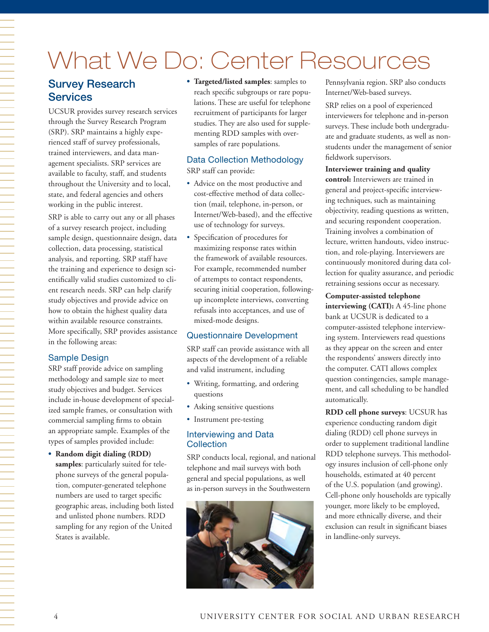# What We Do: Center Resources

# Survey Research **Services**

UCSUR provides survey research services through the Survey Research Program (SRP). SRP maintains a highly experienced staff of survey professionals, trained interviewers, and data management specialists. SRP services are available to faculty, staff, and students throughout the University and to local, state, and federal agencies and others working in the public interest.

SRP is able to carry out any or all phases of a survey research project, including sample design, questionnaire design, data collection, data processing, statistical analysis, and reporting. SRP staff have the training and experience to design scientifically valid studies customized to client research needs. SRP can help clarify study objectives and provide advice on how to obtain the highest quality data within available resource constraints. More specifically, SRP provides assistance in the following areas:

### Sample Design

SRP staff provide advice on sampling methodology and sample size to meet study objectives and budget. Services include in-house development of specialized sample frames, or consultation with commercial sampling firms to obtain an appropriate sample. Examples of the types of samples provided include:

**• Random digit dialing (RDD) samples**: particularly suited for telephone surveys of the general population, computer-generated telephone numbers are used to target specific geographic areas, including both listed and unlisted phone numbers. RDD sampling for any region of the United States is available.

**• Targeted/listed samples**: samples to reach specific subgroups or rare populations. These are useful for telephone recruitment of participants for larger studies. They are also used for supplementing RDD samples with oversamples of rare populations.

#### Data Collection Methodology SRP staff can provide:

- Advice on the most productive and cost-effective method of data collection (mail, telephone, in-person, or Internet/Web-based), and the effective use of technology for surveys.
- Specification of procedures for maximizing response rates within the framework of available resources. For example, recommended number of attempts to contact respondents, securing initial cooperation, followingup incomplete interviews, converting refusals into acceptances, and use of mixed-mode designs.

#### Questionnaire Development

SRP staff can provide assistance with all aspects of the development of a reliable and valid instrument, including

- Writing, formatting, and ordering questions
- Asking sensitive questions
- Instrument pre-testing

#### Interviewing and Data **Collection**

SRP conducts local, regional, and national telephone and mail surveys with both general and special populations, as well as in-person surveys in the Southwestern



Pennsylvania region. SRP also conducts Internet/Web-based surveys.

SRP relies on a pool of experienced interviewers for telephone and in-person surveys. These include both undergraduate and graduate students, as well as nonstudents under the management of senior fieldwork supervisors.

#### **Interviewer training and quality**

**control:** Interviewers are trained in general and project-specific interviewing techniques, such as maintaining objectivity, reading questions as written, and securing respondent cooperation. Training involves a combination of lecture, written handouts, video instruction, and role-playing. Interviewers are continuously monitored during data collection for quality assurance, and periodic retraining sessions occur as necessary.

#### **Computer-assisted telephone**

**interviewing (CATI):** A 45-line phone bank at UCSUR is dedicated to a computer-assisted telephone interviewing system. Interviewers read questions as they appear on the screen and enter the respondents' answers directly into the computer. CATI allows complex question contingencies, sample management, and call scheduling to be handled automatically.

**RDD cell phone surveys**: UCSUR has experience conducting random digit dialing (RDD) cell phone surveys in order to supplement traditional landline RDD telephone surveys. This methodology insures inclusion of cell-phone only households, estimated at 40 percent of the U.S. population (and growing). Cell-phone only households are typically younger, more likely to be employed, and more ethnically diverse, and their exclusion can result in significant biases in landline-only surveys.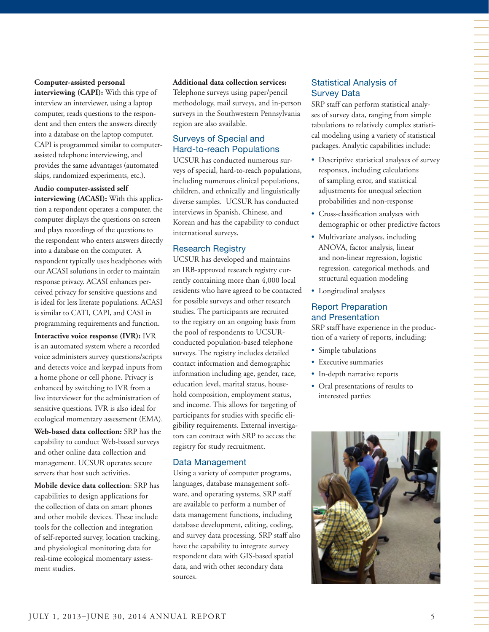#### **Computer-assisted personal**

**interviewing (CAPI):** With this type of interview an interviewer, using a laptop computer, reads questions to the respondent and then enters the answers directly into a database on the laptop computer. CAPI is programmed similar to computerassisted telephone interviewing, and provides the same advantages (automated skips, randomized experiments, etc.).

**Audio computer-assisted self interviewing (ACASI):** With this application a respondent operates a computer, the computer displays the questions on screen and plays recordings of the questions to the respondent who enters answers directly into a database on the computer. A respondent typically uses headphones with our ACASI solutions in order to maintain response privacy. ACASI enhances perceived privacy for sensitive questions and is ideal for less literate populations. ACASI is similar to CATI, CAPI, and CASI in programming requirements and function.

**Interactive voice response (IVR):** IVR is an automated system where a recorded voice administers survey questions/scripts and detects voice and keypad inputs from a home phone or cell phone. Privacy is enhanced by switching to IVR from a live interviewer for the administration of sensitive questions. IVR is also ideal for ecological momentary assessment (EMA).

**Web-based data collection:** SRP has the capability to conduct Web-based surveys and other online data collection and management. UCSUR operates secure servers that host such activities.

**Mobile device data collection**: SRP has capabilities to design applications for the collection of data on smart phones and other mobile devices. These include tools for the collection and integration of self-reported survey, location tracking, and physiological monitoring data for real-time ecological momentary assessment studies.

#### **Additional data collection services:**

Telephone surveys using paper/pencil methodology, mail surveys, and in-person surveys in the Southwestern Pennsylvania region are also available.

#### Surveys of Special and Hard-to-reach Populations

UCSUR has conducted numerous surveys of special, hard-to-reach populations, including numerous clinical populations, children, and ethnically and linguistically diverse samples. UCSUR has conducted interviews in Spanish, Chinese, and Korean and has the capability to conduct international surveys.

#### Research Registry

UCSUR has developed and maintains an IRB-approved research registry currently containing more than 4,000 local residents who have agreed to be contacted for possible surveys and other research studies. The participants are recruited to the registry on an ongoing basis from the pool of respondents to UCSURconducted population-based telephone surveys. The registry includes detailed contact information and demographic information including age, gender, race, education level, marital status, household composition, employment status, and income. This allows for targeting of participants for studies with specific eligibility requirements. External investigators can contract with SRP to access the registry for study recruitment.

#### Data Management

Using a variety of computer programs, languages, database management software, and operating systems, SRP staff are available to perform a number of data management functions, including database development, editing, coding, and survey data processing. SRP staff also have the capability to integrate survey respondent data with GIS-based spatial data, and with other secondary data sources.

#### Statistical Analysis of Survey Data

SRP staff can perform statistical analyses of survey data, ranging from simple tabulations to relatively complex statistical modeling using a variety of statistical packages. Analytic capabilities include:

- Descriptive statistical analyses of survey responses, including calculations of sampling error, and statistical adjustments for unequal selection probabilities and non-response
- Cross-classification analyses with demographic or other predictive factors
- Multivariate analyses, including ANOVA, factor analysis, linear and non-linear regression, logistic regression, categorical methods, and structural equation modeling
- Longitudinal analyses

#### Report Preparation and Presentation

SRP staff have experience in the production of a variety of reports, including:

- Simple tabulations
- Executive summaries
- In-depth narrative reports
- Oral presentations of results to interested parties

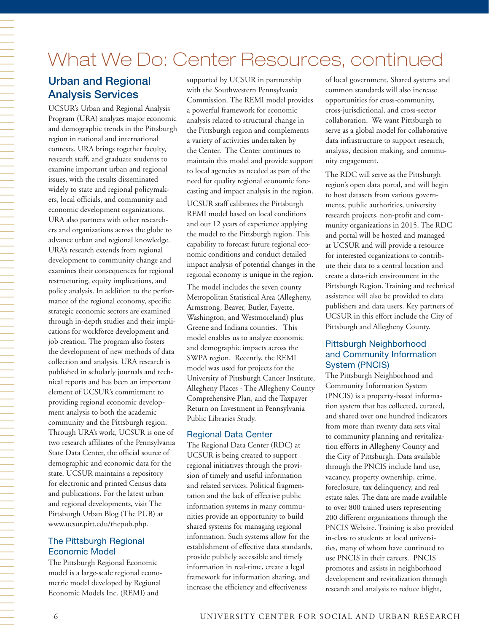# What We Do: Center Resources, continued

# Urban and Regional Analysis Services

UCSUR's Urban and Regional Analysis Program (URA) analyzes major economic and demographic trends in the Pittsburgh region in national and international contexts. URA brings together faculty, research staff, and graduate students to examine important urban and regional issues, with the results disseminated widely to state and regional policymakers, local officials, and community and economic development organizations. URA also partners with other researchers and organizations across the globe to advance urban and regional knowledge. URA's research extends from regional development to community change and examines their consequences for regional restructuring, equity implications, and policy analysis. In addition to the performance of the regional economy, specific strategic economic sectors are examined through in-depth studies and their implications for workforce development and job creation. The program also fosters the development of new methods of data collection and analysis. URA research is published in scholarly journals and technical reports and has been an important element of UCSUR's commitment to providing regional economic development analysis to both the academic community and the Pittsburgh region. Through URA's work, UCSUR is one of two research affiliates of the Pennsylvania State Data Center, the official source of demographic and economic data for the state. UCSUR maintains a repository for electronic and printed Census data and publications. For the latest urban and regional developments, visit The Pittsburgh Urban Blog (The PUB) at www.ucsur.pitt.edu/thepub.php.

#### The Pittsburgh Regional Economic Model

The Pittsburgh Regional Economic model is a large-scale regional econometric model developed by Regional Economic Models Inc. (REMI) and

supported by UCSUR in partnership with the Southwestern Pennsylvania Commission. The REMI model provides a powerful framework for economic analysis related to structural change in the Pittsburgh region and complements a variety of activities undertaken by the Center. The Center continues to maintain this model and provide support to local agencies as needed as part of the need for quality regional economic forecasting and impact analysis in the region. UCSUR staff calibrates the Pittsburgh REMI model based on local conditions and our 12 years of experience applying the model to the Pittsburgh region. This capability to forecast future regional economic conditions and conduct detailed impact analysis of potential changes in the regional economy is unique in the region. The model includes the seven county Metropolitan Statistical Area (Allegheny, Armstrong, Beaver, Butler, Fayette, Washington, and Westmoreland) plus Greene and Indiana counties. This model enables us to analyze economic and demographic impacts across the SWPA region. Recently, the REMI model was used for projects for the University of Pittsburgh Cancer Institute, Allegheny Places - The Allegheny County Comprehensive Plan, and the Taxpayer Return on Investment in Pennsylvania Public Libraries Study.

#### Regional Data Center

The Regional Data Center (RDC) at UCSUR is being created to support regional initiatives through the provision of timely and useful information and related services. Political fragmentation and the lack of effective public information systems in many communities provide an opportunity to build shared systems for managing regional information. Such systems allow for the establishment of effective data standards, provide publicly accessible and timely information in real-time, create a legal framework for information sharing, and increase the efficiency and effectiveness

of local government. Shared systems and common standards will also increase opportunities for cross-community, cross-jurisdictional, and cross-sector collaboration. We want Pittsburgh to serve as a global model for collaborative data infrastructure to support research, analysis, decision making, and community engagement.

The RDC will serve as the Pittsburgh region's open data portal, and will begin to host datasets from various governments, public authorities, university research projects, non-profit and community organizations in 2015. The RDC and portal will be hosted and managed at UCSUR and will provide a resource for interested organizations to contribute their data to a central location and create a data-rich environment in the Pittsburgh Region. Training and technical assistance will also be provided to data publishers and data users. Key partners of UCSUR in this effort include the City of Pittsburgh and Allegheny County.

#### Pittsburgh Neighborhood and Community Information System (PNCIS)

The Pittsburgh Neighborhood and Community Information System (PNCIS) is a property-based information system that has collected, curated, and shared over one hundred indicators from more than twenty data sets vital to community planning and revitalization efforts in Allegheny County and the City of Pittsburgh. Data available through the PNCIS include land use, vacancy, property ownership, crime, foreclosure, tax delinquency, and real estate sales. The data are made available to over 800 trained users representing 200 different organizations through the PNCIS Website. Training is also provided in-class to students at local universities, many of whom have continued to use PNCIS in their careers. PNCIS promotes and assists in neighborhood development and revitalization through research and analysis to reduce blight,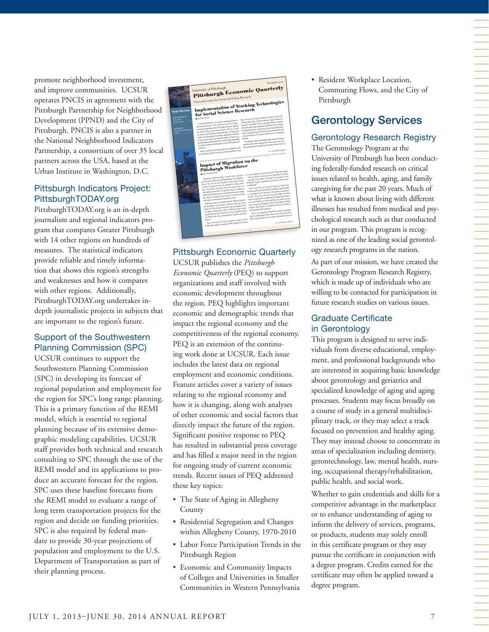promote neighborhood investment, and improve communities. UCSUR operates PNCIS in agreement with the Pittsburgh Partnership for Neighborhood Development (PPND) and the City of Pittsburgh. PNCIS is also a partner in the National Neighborhood Indicators Partnership, a consortium of over 35 local partners across the USA, based at the Urban Institute in Washington, D.C.

#### Pittsburgh Indicators Project: PittsburghTODAY.org

PittsburghTODAY.org is an in-depth journalism and regional indicators program that compares Greater Pittsburgh with 14 other regions on hundreds of measures. The statistical indicators provide reliable and timely information that shows this region's strengths and weaknesses and how it compares with other regions. Additionally, PittsburghTODAY.org undertakes indepth journalistic projects in subjects that are important to the region's future.

#### Support of the Southwestern Planning Commission (SPC)

UCSUR continues to support the Southwestern Planning Commission (SPC) in developing its forecast of regional population and employment for the region for SPC's long range planning. This is a primary function of the REMI model, which is essential to regional planning because of its extensive demographic modeling capabilities. UCSUR staff provides both technical and research consulting to SPC through the use of the REMI model and its applications to produce an accurate forecast for the region. SPC uses these baseline forecasts from the REMI model to evaluate a range of long term transportation projects for the region and decide on funding priorities. SPC is also required by federal mandate to provide 30-year projections of population and employment to the U.S. Department of Transportation as part of their planning process.

| <b>Inside This Issue</b><br>Urban and Regional                                                                                                                                                                                                                                                          | $D_E$ скмвин 2014<br><b>Pittsburgh Economic Quarterly</b><br>University of Pittsburgh<br>University Center for Social and Urban Research<br>Implementation of Tracking Technologies<br>for Social Science Research                                                                                                                                                                                                                                                                                                                                                                                                                                                                                                                                                                                                                                                                                                                                                                                                                                                                                                                                                                                                                                                                                                                                                                                                                                                                                                                                                                                                                                                                                                                                                                                                                                                                                                                                                                                                                                                                                                                                                                                                                                                                                                                                                                                                                                                                                                                                                                                                                                                                                                                                                                                                                                                                                                                                                              |
|---------------------------------------------------------------------------------------------------------------------------------------------------------------------------------------------------------------------------------------------------------------------------------------------------------|---------------------------------------------------------------------------------------------------------------------------------------------------------------------------------------------------------------------------------------------------------------------------------------------------------------------------------------------------------------------------------------------------------------------------------------------------------------------------------------------------------------------------------------------------------------------------------------------------------------------------------------------------------------------------------------------------------------------------------------------------------------------------------------------------------------------------------------------------------------------------------------------------------------------------------------------------------------------------------------------------------------------------------------------------------------------------------------------------------------------------------------------------------------------------------------------------------------------------------------------------------------------------------------------------------------------------------------------------------------------------------------------------------------------------------------------------------------------------------------------------------------------------------------------------------------------------------------------------------------------------------------------------------------------------------------------------------------------------------------------------------------------------------------------------------------------------------------------------------------------------------------------------------------------------------------------------------------------------------------------------------------------------------------------------------------------------------------------------------------------------------------------------------------------------------------------------------------------------------------------------------------------------------------------------------------------------------------------------------------------------------------------------------------------------------------------------------------------------------------------------------------------------------------------------------------------------------------------------------------------------------------------------------------------------------------------------------------------------------------------------------------------------------------------------------------------------------------------------------------------------------------------------------------------------------------------------------------------------------|
| Brown Bag<br>Symmax Series<br>Scuthwestern<br>Ponazylvania Commercial<br>Politic Contract of the Contract of The Contract of The Contract of The Contract of The Contract of The Contract of The Contract of The Contract of The Contract of The Contract of The Contract of The Contract of The Contra | device that can transfer obtained receions easily and<br>By Nourt Stored<br>cheaply have been creating important opportunities for<br>In the last decade or so, we have withessed unprec-<br>research, in parallel, there is a growing ability to analyze<br>ederated advantage in the collection and use of high-<br>the huge space-time databases created by thisse tracking<br>resolution geographic data of moving humans or objects<br>technologies due to, in particular, the confinanza develop-<br>by researchers and the wider public. This is a result<br>ment of geographical information science/systems and<br>of various technological developments, including the<br>more penerally, to the adventuations in our computing<br>continuous development of remote sensing the creation<br>of free coline maps and setspite images of Earth (e-2.<br>abilities.<br>The ability to collect and analyze high-resolution space-<br>Google Meps and Google Earth), and the wide as elability<br>time data that cover long periods of time opens up enor-<br>of various tracking technologies, such as GPS, Beautosth,<br>mous possibilities for virtualing new lines of social science<br>and Wi-Fi-<br>Most recently, the development and widespread use<br>*** continued on page 4<br>of smartphonics that incorporate tracking abilities in one<br>.<br>Participa de la provincia de la provincia del manera del control de la provincia del control de la provincia d<br>Impact of Migration on the<br>Pittsburgh Workforce<br>network migrants moving into the Pittsburgh region<br><b>B</b> By Civistopher Brief<br>-those aniving in the past year, regardless of origin<br>Population migrazion plays a major role in regional<br>and also the number of foreign-born workers in the<br>growth and change across Southwestern Pennsylvania-<br>Pittsburgh region, regardless of the year of their move<br>Even if the rate of not migration is low, larger flows<br>of both in-migration and out-migration enrolmen each<br>to Pittsburgh.<br>Data from the U.S. Census Bureau's American<br>year. Pepulation migration has a focused impact on<br>Community Survey (ACS) Public Use Microdata Sample<br>the regional workforce. A significant part of migration<br>is compiled here to examine metropolitan migration<br>within the United States is considered economic migra-<br>trends. Data from the ACS fixe-year (2008-12) data<br>tion, driven in large part by workers and their familias<br>set are compled for the Pittsburgh metropolitan staris-<br>relocating for employment related reasons.<br>tical area (MSA), currently defined as a seren-county<br>Migration ranks your significantly for different parts of<br>area comprising Allegheny, Armstrong, Beaver, Butler,<br>the population, in particular, migrarion rates are much<br>Fayette, Weshington, and Weshnereland counties in<br>higher for the younger working-age papulation than |
|                                                                                                                                                                                                                                                                                                         | for older working age coherts. Migrazion also varies<br>Southwestern Pennsylvania-<br>ACS is an origoing survey that includes a question<br>significantly across industries and occupations based<br>galong respondents where they lived one year earlier.<br>on differential rates of employment grants and other<br>ACS compled data can be used to estimate the size of<br>Here, the impact of recent migration flows into the<br>factors.<br>*** pontinued on page 2<br>Pittsburgh region is extensived. We quantify the number                                                                                                                                                                                                                                                                                                                                                                                                                                                                                                                                                                                                                                                                                                                                                                                                                                                                                                                                                                                                                                                                                                                                                                                                                                                                                                                                                                                                                                                                                                                                                                                                                                                                                                                                                                                                                                                                                                                                                                                                                                                                                                                                                                                                                                                                                                                                                                                                                                             |
|                                                                                                                                                                                                                                                                                                         | x,                                                                                                                                                                                                                                                                                                                                                                                                                                                                                                                                                                                                                                                                                                                                                                                                                                                                                                                                                                                                                                                                                                                                                                                                                                                                                                                                                                                                                                                                                                                                                                                                                                                                                                                                                                                                                                                                                                                                                                                                                                                                                                                                                                                                                                                                                                                                                                                                                                                                                                                                                                                                                                                                                                                                                                                                                                                                                                                                                                              |

### Pittsburgh Economic Quarterly

UCSUR publishes the *Pittsburgh Economic Quarterly* (PEQ) to support organizations and staff involved with economic development throughout the region. PEQ highlights important economic and demographic trends that impact the regional economy and the competitiveness of the regional economy. PEQ is an extension of the continuing work done at UCSUR. Each issue includes the latest data on regional employment and economic conditions. Feature articles cover a variety of issues relating to the regional economy and how it is changing, along with analyses of other economic and social factors that directly impact the future of the region. Significant positive response to PEQ has resulted in substantial press coverage and has filled a major need in the region for ongoing study of current economic trends. Recent issues of PEQ addressed these key topics:

- The State of Aging in Allegheny County
- Residential Segregation and Changes within Allegheny County, 1970-2010
- Labor Force Participation Trends in the Pittsburgh Region
- Economic and Community Impacts of Colleges and Universities in Smaller Communities in Western Pennsylvania

• Resident Workplace Location, Commuting Flows, and the City of Pittsburgh

# Gerontology Services

### Gerontology Research Registry

The Gerontology Program at the University of Pittsburgh has been conducting federally-funded research on critical issues related to health, aging, and family caregiving for the past 20 years. Much of what is known about living with different illnesses has resulted from medical and psychological research such as that conducted in our program. This program is recognized as one of the leading social gerontology research programs in the nation.

As part of our mission, we have created the Gerontology Program Research Registry, which is made up of individuals who are willing to be contacted for participation in future research studies on various issues.

#### Graduate Certificate in Gerontology

This program is designed to serve individuals from diverse educational, employment, and professional backgrounds who are interested in acquiring basic knowledge about gerontology and geriatrics and specialized knowledge of aging and aging processes. Students may focus broadly on a course of study in a general multidisciplinary track, or they may select a track focused on prevention and healthy aging. They may instead choose to concentrate in areas of specialization including dentistry, gerontechnology, law, mental health, nursing, occupational therapy/rehabilitation, public health, and social work.

Whether to gain credentials and skills for a competitive advantage in the marketplace or to enhance understanding of aging to inform the delivery of services, programs, or products, students may solely enroll in this certificate program or they may pursue the certificate in conjunction with a degree program. Credits earned for the certificate may often be applied toward a degree program.

一个人,我们就是一个人,我们就是一个人,我们就是一个人,我们就是一个人,我们就是一个人,我们就是一个人,我们就是一个人,我们就是一个人,我们就是一个人,我们就是一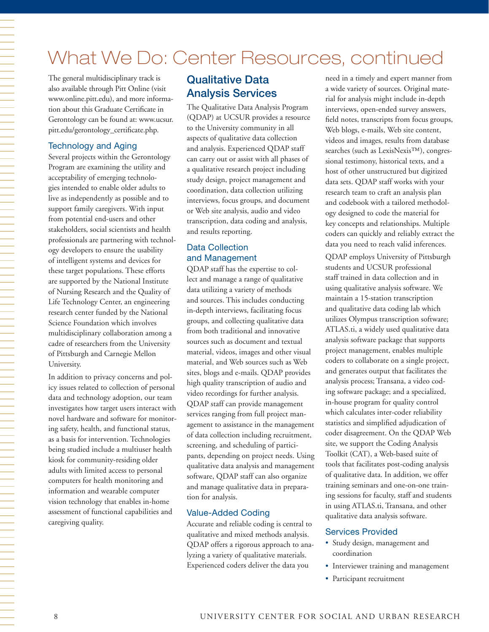# What We Do: Center Resources, continued

The general multidisciplinary track is also available through Pitt Online (visit www.online.pitt.edu), and more information about this Graduate Certificate in Gerontology can be found at: www.ucsur. pitt.edu/gerontology\_certificate.php.

#### Technology and Aging

Several projects within the Gerontology Program are examining the utility and acceptability of emerging technologies intended to enable older adults to live as independently as possible and to support family caregivers. With input from potential end-users and other stakeholders, social scientists and health professionals are partnering with technology developers to ensure the usability of intelligent systems and devices for these target populations. These efforts are supported by the National Institute of Nursing Research and the Quality of Life Technology Center, an engineering research center funded by the National Science Foundation which involves multidisciplinary collaboration among a cadre of researchers from the University of Pittsburgh and Carnegie Mellon University.

In addition to privacy concerns and policy issues related to collection of personal data and technology adoption, our team investigates how target users interact with novel hardware and software for monitoring safety, health, and functional status, as a basis for intervention. Technologies being studied include a multiuser health kiosk for community-residing older adults with limited access to personal computers for health monitoring and information and wearable computer vision technology that enables in-home assessment of functional capabilities and caregiving quality.

# Qualitative Data Analysis Services

The Qualitative Data Analysis Program (QDAP) at UCSUR provides a resource to the University community in all aspects of qualitative data collection and analysis. Experienced QDAP staff can carry out or assist with all phases of a qualitative research project including study design, project management and coordination, data collection utilizing interviews, focus groups, and document or Web site analysis, audio and video transcription, data coding and analysis, and results reporting.

#### Data Collection and Management

QDAP staff has the expertise to collect and manage a range of qualitative data utilizing a variety of methods and sources. This includes conducting in-depth interviews, facilitating focus groups, and collecting qualitative data from both traditional and innovative sources such as document and textual material, videos, images and other visual material, and Web sources such as Web sites, blogs and e-mails. QDAP provides high quality transcription of audio and video recordings for further analysis. QDAP staff can provide management services ranging from full project management to assistance in the management of data collection including recruitment, screening, and scheduling of participants, depending on project needs. Using qualitative data analysis and management software, QDAP staff can also organize and manage qualitative data in preparation for analysis.

#### Value-Added Coding

Accurate and reliable coding is central to qualitative and mixed methods analysis. QDAP offers a rigorous approach to analyzing a variety of qualitative materials. Experienced coders deliver the data you

need in a timely and expert manner from a wide variety of sources. Original material for analysis might include in-depth interviews, open-ended survey answers, field notes, transcripts from focus groups, Web blogs, e-mails, Web site content, videos and images, results from database searches (such as LexisNexis™), congressional testimony, historical texts, and a host of other unstructured but digitized data sets. QDAP staff works with your research team to craft an analysis plan and codebook with a tailored methodology designed to code the material for key concepts and relationships. Multiple coders can quickly and reliably extract the data you need to reach valid inferences.

QDAP employs University of Pittsburgh students and UCSUR professional staff trained in data collection and in using qualitative analysis software. We maintain a 15-station transcription and qualitative data coding lab which utilizes Olympus transcription software; ATLAS.ti, a widely used qualitative data analysis software package that supports project management, enables multiple coders to collaborate on a single project, and generates output that facilitates the analysis process; Transana, a video coding software package; and a specialized, in-house program for quality control which calculates inter-coder reliability statistics and simplified adjudication of coder disagreement. On the QDAP Web site, we support the Coding Analysis Toolkit (CAT), a Web-based suite of tools that facilitates post-coding analysis of qualitative data. In addition, we offer training seminars and one-on-one training sessions for faculty, staff and students in using ATLAS.ti, Transana, and other qualitative data analysis software.

#### Services Provided

- Study design, management and coordination
- Interviewer training and management
- Participant recruitment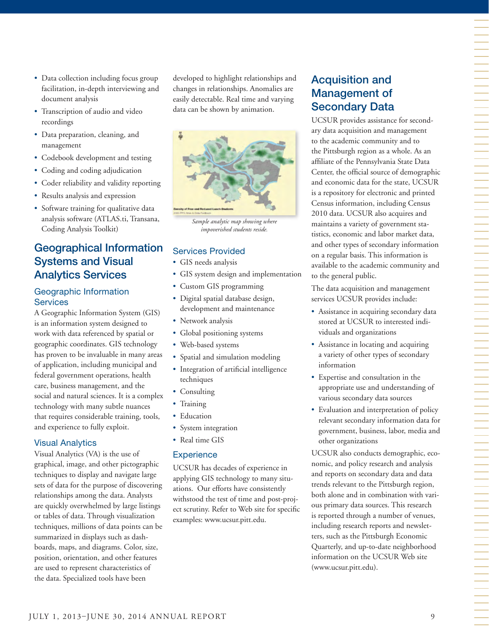• Software training for qualitative data analysis software (ATLAS.ti, Transana,

Coding Analysis Toolkit)

• Results analysis and expression

# Geographical Information Systems and Visual Analytics Services

• Data collection including focus group facilitation, in-depth interviewing and

• Transcription of audio and video

• Data preparation, cleaning, and

• Codebook development and testing • Coding and coding adjudication

• Coder reliability and validity reporting

document analysis

recordings

management

#### Geographic Information **Services**

A Geographic Information System (GIS) is an information system designed to work with data referenced by spatial or geographic coordinates. GIS technology has proven to be invaluable in many areas of application, including municipal and federal government operations, health care, business management, and the social and natural sciences. It is a complex technology with many subtle nuances that requires considerable training, tools, and experience to fully exploit.

#### Visual Analytics

Visual Analytics (VA) is the use of graphical, image, and other pictographic techniques to display and navigate large sets of data for the purpose of discovering relationships among the data. Analysts are quickly overwhelmed by large listings or tables of data. Through visualization techniques, millions of data points can be summarized in displays such as dashboards, maps, and diagrams. Color, size, position, orientation, and other features are used to represent characteristics of the data. Specialized tools have been

developed to highlight relationships and changes in relationships. Anomalies are easily detectable. Real time and varying data can be shown by animation.



*Sample analytic map showing where impoverished students reside.*

#### Services Provided

- GIS needs analysis
- GIS system design and implementation
- Custom GIS programming
- Digital spatial database design, development and maintenance
- Network analysis
- Global positioning systems
- Web-based systems
- Spatial and simulation modeling
- Integration of artificial intelligence techniques
- Consulting
- Training
- Education
- System integration
- Real time GIS

#### **Experience**

UCSUR has decades of experience in applying GIS technology to many situations. Our efforts have consistently withstood the test of time and post-project scrutiny. Refer to Web site for specific examples: www.ucsur.pitt.edu.

# Acquisition and Management of Secondary Data

UCSUR provides assistance for secondary data acquisition and management to the academic community and to the Pittsburgh region as a whole. As an affiliate of the Pennsylvania State Data Center, the official source of demographic and economic data for the state, UCSUR is a repository for electronic and printed Census information, including Census 2010 data. UCSUR also acquires and maintains a variety of government statistics, economic and labor market data, and other types of secondary information on a regular basis. This information is available to the academic community and to the general public.

The data acquisition and management services UCSUR provides include:

- Assistance in acquiring secondary data stored at UCSUR to interested individuals and organizations
- Assistance in locating and acquiring a variety of other types of secondary information
- Expertise and consultation in the appropriate use and understanding of various secondary data sources
- Evaluation and interpretation of policy relevant secondary information data for government, business, labor, media and other organizations

UCSUR also conducts demographic, economic, and policy research and analysis and reports on secondary data and data trends relevant to the Pittsburgh region, both alone and in combination with various primary data sources. This research is reported through a number of venues, including research reports and newsletters, such as the Pittsburgh Economic Quarterly, and up-to-date neighborhood information on the UCSUR Web site (www.ucsur.pitt.edu).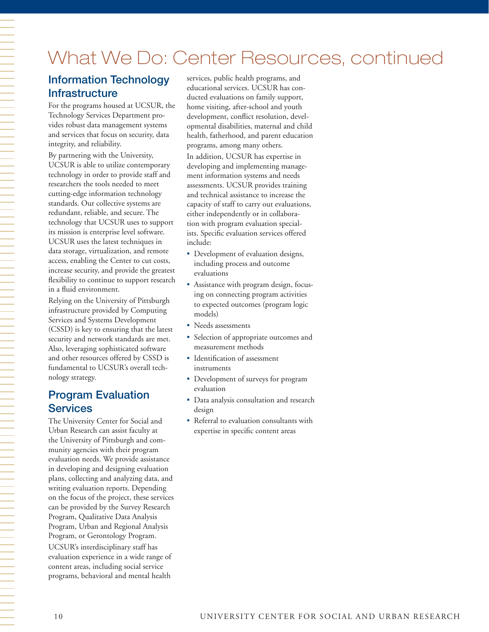# What We Do: Center Resources, continued

# Information Technology **Infrastructure**

For the programs housed at UCSUR, the Technology Services Department provides robust data management systems and services that focus on security, data integrity, and reliability.

By partnering with the University, UCSUR is able to utilize contemporary technology in order to provide staff and researchers the tools needed to meet cutting-edge information technology standards. Our collective systems are redundant, reliable, and secure. The technology that UCSUR uses to support its mission is enterprise level software. UCSUR uses the latest techniques in data storage, virtualization, and remote access, enabling the Center to cut costs, increase security, and provide the greatest flexibility to continue to support research in a fluid environment.

Relying on the University of Pittsburgh infrastructure provided by Computing Services and Systems Development (CSSD) is key to ensuring that the latest security and network standards are met. Also, leveraging sophisticated software and other resources offered by CSSD is fundamental to UCSUR's overall technology strategy.

# Program Evaluation Services

The University Center for Social and Urban Research can assist faculty at the University of Pittsburgh and community agencies with their program evaluation needs. We provide assistance in developing and designing evaluation plans, collecting and analyzing data, and writing evaluation reports. Depending on the focus of the project, these services can be provided by the Survey Research Program, Qualitative Data Analysis Program, Urban and Regional Analysis Program, or Gerontology Program. UCSUR's interdisciplinary staff has evaluation experience in a wide range of content areas, including social service programs, behavioral and mental health

services, public health programs, and educational services. UCSUR has conducted evaluations on family support, home visiting, after-school and youth development, conflict resolution, developmental disabilities, maternal and child health, fatherhood, and parent education programs, among many others. In addition, UCSUR has expertise in developing and implementing management information systems and needs assessments. UCSUR provides training and technical assistance to increase the capacity of staff to carry out evaluations, either independently or in collaboration with program evaluation specialists. Specific evaluation services offered include:

- Development of evaluation designs, including process and outcome evaluations
- Assistance with program design, focusing on connecting program activities to expected outcomes (program logic models)
- Needs assessments
- Selection of appropriate outcomes and measurement methods
- Identification of assessment instruments
- Development of surveys for program evaluation
- Data analysis consultation and research design
- Referral to evaluation consultants with expertise in specific content areas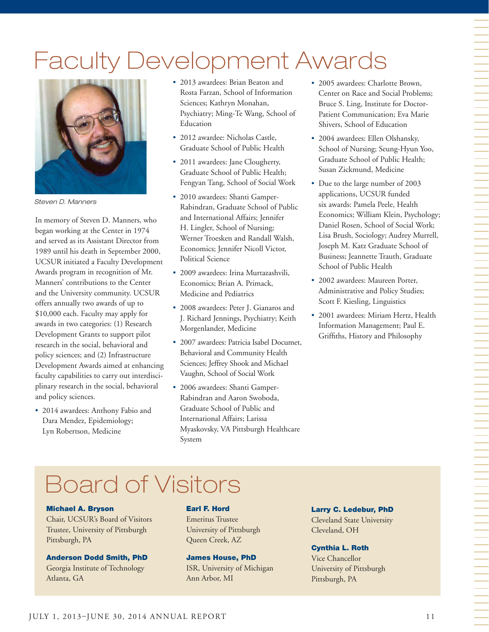# Faculty Development Awards



*Steven D. Manners*

In memory of Steven D. Manners, who began working at the Center in 1974 and served as its Assistant Director from 1989 until his death in September 2000, UCSUR initiated a Faculty Development Awards program in recognition of Mr. Manners' contributions to the Center and the University community. UCSUR offers annually two awards of up to \$10,000 each. Faculty may apply for awards in two categories: (1) Research Development Grants to support pilot research in the social, behavioral and policy sciences; and (2) Infrastructure Development Awards aimed at enhancing faculty capabilities to carry out interdisciplinary research in the social, behavioral and policy sciences.

• 2014 awardees: Anthony Fabio and Dara Mendez, Epidemiology; Lyn Robertson, Medicine

- 2013 awardees: Brian Beaton and Rosta Farzan, School of Information Sciences; Kathryn Monahan, Psychiatry; Ming-Te Wang, School of Education
- 2012 awardee: Nicholas Castle, Graduate School of Public Health
- 2011 awardees: Jane Clougherty, Graduate School of Public Health; Fengyan Tang, School of Social Work
- 2010 awardees: Shanti Gamper-Rabindran, Graduate School of Public and International Affairs; Jennifer H. Lingler, School of Nursing; Werner Troesken and Randall Walsh, Economics; Jennifer Nicoll Victor, Political Science
- 2009 awardees: Irina Murtazashvili, Economics; Brian A. Primack, Medicine and Pediatrics
- 2008 awardees: Peter J. Gianaros and J. Richard Jennings, Psychiatry; Keith Morgenlander, Medicine
- 2007 awardees: Patricia Isabel Documet, Behavioral and Community Health Sciences; Jeffrey Shook and Michael Vaughn, School of Social Work
- 2006 awardees: Shanti Gamper-Rabindran and Aaron Swoboda, Graduate School of Public and International Affairs; Larissa Myaskovsky, VA Pittsburgh Healthcare System
- 2005 awardees: Charlotte Brown, Center on Race and Social Problems; Bruce S. Ling, Institute for Doctor-Patient Communication; Eva Marie Shivers, School of Education
- 2004 awardees: Ellen Olshansky, School of Nursing; Seung-Hyun Yoo, Graduate School of Public Health; Susan Zickmund, Medicine
- Due to the large number of 2003 applications, UCSUR funded six awards: Pamela Peele, Health Economics; William Klein, Psychology; Daniel Rosen, School of Social Work; Lisa Brush, Sociology; Audrey Murrell, Joseph M. Katz Graduate School of Business; Jeannette Trauth, Graduate School of Public Health
- 2002 awardees: Maureen Porter, Administrative and Policy Studies; Scott F. Kiesling, Linguistics
- 2001 awardees: Miriam Hertz, Health Information Management; Paul E. Griffiths, History and Philosophy

# Board of Visitors

#### Michael A. Bryson

Chair, UCSUR's Board of Visitors Trustee, University of Pittsburgh Pittsburgh, PA

Anderson Dodd Smith, PhD Georgia Institute of Technology Atlanta, GA

#### Earl F. Hord

Emeritus Trustee University of Pittsburgh Queen Creek, AZ

James House, PhD ISR, University of Michigan Ann Arbor, MI

Larry C. Ledebur, PhD Cleveland State University Cleveland, OH

#### Cynthia L. Roth

Vice Chancellor University of Pittsburgh Pittsburgh, PA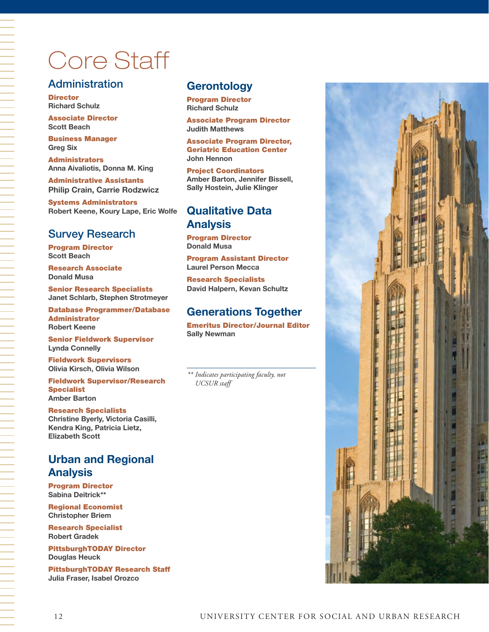# Core Staff

# **Administration**

**Director Richard Schulz** 

Associate Director **Scott Beach**

Business Manager **Greg Six** 

Administrators **Anna Aivaliotis, Donna M. King** 

Administrative Assistants **Philip Crain, Carrie Rodzwicz**

Systems Administrators **Robert Keene, Koury Lape, Eric Wolfe**

# Survey Research

Program Director **Scott Beach**

Research Associate **Donald Musa** 

Senior Research Specialists **Janet Schlarb, Stephen Strotmeyer**

Database Programmer/Database Administrator **Robert Keene**

Senior Fieldwork Supervisor **Lynda Connelly**

Fieldwork Supervisors **Olivia Kirsch, Olivia Wilson**

Fieldwork Supervisor/Research Specialist **Amber Barton**

#### Research Specialists

**Christine Byerly, Victoria Casilli, Kendra King, Patricia Lietz, Elizabeth Scott**

# **Urban and Regional Analysis**

Program Director **Sabina Deitrick\*\***

Regional Economist **Christopher Briem**

Research Specialist **Robert Gradek**

PittsburghTODAY Director **Douglas Heuck**

PittsburghTODAY Research Staff **Julia Fraser, Isabel Orozco**

## **Gerontology**

Program Director **Richard Schulz**

Associate Program Director **Judith Matthews**

Associate Program Director, Geriatric Education Center **John Hennon** 

Project Coordinators **Amber Barton, Jennifer Bissell, Sally Hostein, Julie Klinger**

# **Qualitative Data Analysis**

Program Director **Donald Musa**

Program Assistant Director **Laurel Person Mecca**

Research Specialists **David Halpern, Kevan Schultz**

# **Generations Together**

Emeritus Director/Journal Editor **Sally Newman**

*\*\* Indicates participating faculty, not UCSUR staff* 

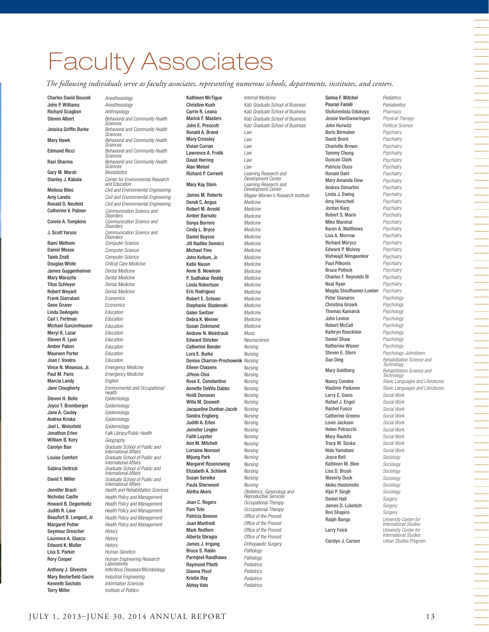# Faculty Associates

*The following individuals serve as faculty associates, representing numerous schools, departments, institutes, and centers.*

Charles David Boucek *Anesthesiology* John P. Williams *Anesthesiology* **Richard Scaglion** *Anthropology*<br>**Steven Albert** *Behavioral and* 

Gary M. Marsh<br>Stanley J. Kabala

Rami Melhem *Computer Science* Daniel Mosse *Computer Science* Taieb Znati *Computer Science* James Guggenheimer *Dental Medicine* Mary Marazita *Dental Medicine* Titus Schleyer *Dental Medicine* Robert Weyant *Dental Medicine* Frank Giarratani *Economics* Gene Gruver *Economics* Linda DeAngelo *Education* Carl I. Fertman *Education* Michael Gunzenhauser *Education* Meryl K. Lazar *Education* Steven R. Lyon *Education* Amber Pabon *Education* Maureen Porter *Education* Joan I. Vondra *Education* Vince N. Mosesso, Jr. *Emergency Medicine* Paul M. Paris *Emergency Medicine* Marcia Landy *English*

Steven H. Belle Joyce T. Bromberger *Epidemiology* Jane A. Cauley *Epidemiology* Andrea Kriska *Epidemiology* Joel L. Weissfeld *Epidemiology* William B. Kory *Geography* Seymour Drescher *History* Laurence A. Glasco *History* **Edward K. Muller** 

Mary Besterfield-Sacre *Industrial Engineering* Kenneth Sochats *Information Sciences* Terry Miller *Institute of Politics*

Behavioral and Community Health *Sciences* Jessica Griffin Burke *Behavioral and Community Health Sciences* Mary Hawk *Behavioral and Community Health Sciences* Edmund Ricci *Behavioral and Community Health Sciences* Ravi Sharma *Behavioral and Community Health Sciences* Center for Environmental Research *and Education* Melissa Bilec *Civil and Environmental Engineering* Amy Landis *Civil and Environmental Engineering* Ronald D. Neufeld *Civil and Environmental Engineering* Communication Science and *Disorders* Connie A. Tompkins *Communication Science and Disorders* J. Scott Yaruss *Communication Science and Disorders* **Critical Care Medicine** Jane Clougherty *Environmental and Occupational Health* Jonathon Erlen *Falk Library/Public Health* Graduate School of Public and *International Affairs* Louise Comfort *Graduate School of Public and International Affairs* Sabina Deitrick *Graduate School of Public and International Affairs* David Y. Miller *Graduate School of Public and International Affairs* Jennifer Brach *Health and Rehabilitation Sciences* Nicholas Castle *Health Policy and Management* **Health Policy and Management** Judith R. Lave *Health Policy and Management* Beaufort B. Longest, Jr *Health Policy and Management* Margaret Potter *Health Policy and Management* Lisa S. Parker *Human Genetics* Rory Cooper *Human Engineering Research Laboratories* Anthony J. Silvestre *Infectious Diseases/Microbiology*

Kathleen McTigue *Internal Medicine* Ronald A. Brand *Law* Mary Crossley *Law* Vivian Curran *Law* Lawrence A. Frolik *Law* David Herring *Law* Alan Meisel *Law*

Derek C. Angus *Medicine* Robert M. Arnold *Medicine* Amber Barnato *Medicine* Sonya Borrero *Medicine* Cindy L. Bryce *Medicine* Daniel Buysse *Medicine* Jill Radtke Demirci *Medicine* Michael Fine *Medicine* John Kellum, Jr. *Medicine* Katie Nason *Medicine* Anne B. Newman *Medicine* P. Sudhakar Reddy *Medicine* Linda Robertson Eric Rodriguez *Medicine* Robert E. Schoen *Medicine* Stephanie Studenski *Medicine* Galen Switzer *Medicine* Debra K. Weiner *Medicine* Susan Zickmund *Medicine* Andrew N. Weintraub *Music* Edward Stricker *Neuroscience* **Catherine Bender** *Nursing*<br> **Lora E. Burke** *Nursing* Lora E. Burke Denise Charron-Prochownik *Nursing* Eileen Chasens *Nursing* JiYeon Choi Rose E. Constantino *Nursing* Annette DeVito Dabbs *Nursing* Heidi Donovan *Nursing* Willa M. Doswell *Nursing* Jacqueline Dunbar-Jacob *Nursing* Sandra Engberg *Nursing* Judith A. Erlen *Nursing* Jennifer Lingler *Nursing* Faith Luyster *Nursing* Ann M. Mitchell *Nursing* Lorraine Novosel *Nursing* Mijung Park *Nursing* Margaret Rosenzweig *Nursing* Elizabeth A. Schlenk *Nursing* Susan Sereika *Nursing* Paula Sherwood Joan C. Rogers *Occupational Therapy* Pam Toto *Occupational Therapy* **Patricia Beeson** *Office of the Provost*<br>Iuan Manfredi *Office of the Provost* Mark Redfern *Office of the Provost* Alberta Sbragia *Office of the Provost* James J. Irrgang *Orthopaedic Surgery* Bruce S. Rabin *Pathology* Parmjeet Randhawa *Pathology* Raymond Pitetti *Pediatrics* Dianna Ploof Kristin Ray *Pediatrics* Abhay Vats *Pediatrics*

Christine Kush *Katz Graduate School of Business* Carrie R. Leana *Katz Graduate School of Business* Marick F. Masters *Katz Graduate School of Business* John E. Prescott *Katz Graduate School of Business* Richard P. Correnti *Learning Research and Development Center* Mary Kay Stein *Learning Research and Development Center* James M. Roberts *Magee-Women's Research Institute* Aletha Akers *Obstetrics, Gynecology and Reproductive Services* Office of the Provost

Selma F. Witchel *Pediatrics* Pouran Famili *Periodontics* Olufunmilola Odukoya *Pharmacy*  Jessie VanSwearingen *Physical Therapy*  John Hurwitz *Political Science*  Boris Birmaher *Psychiatry*  David Brent *Psychiatry*  Charlotte Brown *Psychiatry*  Tammy Chung *Psychiatry*  Duncan Clark *Psychiatry*  Patricia Cluss *Psychiatry*  Ronald Dahl *Psychiatry*  Mary Amanda Dew *Psychiatry*  Andrea Dimartini *Psychiatry*  Linda J. Ewing *Psychiatry*  Amy Herschell *Psychiatry*  Jordan Karp *Psychiatry*  Robert S. Marin *Psychiatry*  Mike Marshal *Psychiatry*  Karen A. Matthews *Psychiatry*  Lisa A. Morrow Richard Morycz *Psychiatry*  Edward P. Mulvey *Psychiatry*  Vishwajit Nimgaonkar *Psychiatry*  Paul Pilkonis *Psychiatry*  Bruce Pollock *Psychiatry*  Charles F. Reynolds III *Psychiatry*  Neal Ryan *Psychiatry*  Magda Stouthamer-Loeber *Psychiatry*  Peter Gianaros *Psychology*  Christina Groark *Psychology*  Thomas Kamarck *Psychology*  John Levine *Psychology*  Robert McCall *Psychology*  Kathryn Roecklein *Psychology*  Daniel Shaw *Psychology*  Katherine Wisner *Psychology* Larry E. Davis *Social Work* Rafael J. Engel *Social Work*  Rachel Fusco *Social Work*  Catherine Greeno *Social Work*  Lovie Jackson *Social Work*  **Helen Petracchi** Mary Rauktis *Social Work*  Tracy M. Soska *Social Work*  Hide Yamatani *Social Work*  Joyce Bell *Sociology*  Kathleen M. Blee *Sociology*  Lisa D. Brush *Sociology*  Waverly Duck *Sociology*  Akiko Hashimoto *Sociology*  Vijai P. Singh *Sociology*  Daniel Hall *Surgery*  James D. Luketich *Surgery*  Ron Shapiro *Surgery* Ralph Bangs *University Center for*  Larry Feick *University Center for International Studies* 

Steven E. Stern *Psychology-Johnstown* Dan Ding *Rehabilitation Science and Technology*  Mary Goldberg *Rehabilitation Science and Technology*  Nancy Condee *Slavic Languages and Literatures*  Vladimir Padunov *Slavic Languages and Literatures International Studies* Carolyn J. Carson *Urban Studies Program*

#### JULY 1, 2013–JUNE 30, 2014 ANNUAL REPORT 13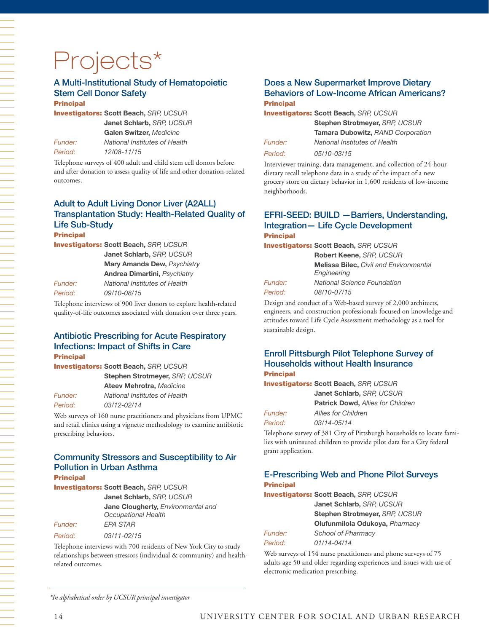# Projects\*

# A Multi-Institutional Study of Hematopoietic Stem Cell Donor Safety

**Principal** 

Investigators: **Scott Beach,** *SRP, UCSUR*  **Janet Schlarb,** *SRP, UCSUR* 

**Galen Switzer,** *Medicine Funder: National Institutes of Health Period: 12/08-11/15*

Telephone surveys of 400 adult and child stem cell donors before and after donation to assess quality of life and other donation-related outcomes.

# Adult to Adult Living Donor Liver (A2ALL) Transplantation Study: Health-Related Quality of Life Sub-Study

**Principal** 

Investigators: **Scott Beach,** *SRP, UCSUR*  **Janet Schlarb,** *SRP, UCSUR* 

**Mary Amanda Dew,** *Psychiatry*  **Andrea Dimartini,** *Psychiatry*

*Funder: National Institutes of Health*

*Period: 09/10-08/15*

Telephone interviews of 900 liver donors to explore health-related quality-of-life outcomes associated with donation over three years.

#### Antibiotic Prescribing for Acute Respiratory Infections: Impact of Shifts in Care Principal

Investigators: **Scott Beach,** *SRP, UCSUR* 

**Stephen Strotmeyer,** *SRP, UCSUR*  **Ateev Mehrotra,** *Medicine Funder: National Institutes of Health Period: 03/12-02/14*

Web surveys of 160 nurse practitioners and physicians from UPMC and retail clinics using a vignette methodology to examine antibiotic prescribing behaviors.

# Community Stressors and Susceptibility to Air Pollution in Urban Asthma

**Principal** 

Investigators: **Scott Beach,** *SRP, UCSUR*  **Janet Schlarb,** *SRP, UCSUR* **Jane Clougherty,** *Environmental and Occupational Health Funder: EPA STAR Period: 03/11-02/15*

Telephone interviews with 700 residents of New York City to study relationships between stressors (individual & community) and healthrelated outcomes.

#### Does a New Supermarket Improve Dietary Behaviors of Low-Income African Americans? **Principal**

Investigators: **Scott Beach,** *SRP, UCSUR*  **Stephen Strotmeyer,** *SRP, UCSUR*  **Tamara Dubowitz,** *RAND Corporation Funder: National Institutes of Health Period: 05/10-03/15*

Interviewer training, data management, and collection of 24-hour dietary recall telephone data in a study of the impact of a new grocery store on dietary behavior in 1,600 residents of low-income neighborhoods.

#### EFRI-SEED: BUILD —Barriers, Understanding, Integration— Life Cycle Development **Principal**

Investigators: **Scott Beach,** *SRP, UCSUR* 

|                | Robert Keene, SRP, UCSUR                      |  |  |  |  |
|----------------|-----------------------------------------------|--|--|--|--|
|                | <b>Melissa Bilec, Civil and Environmental</b> |  |  |  |  |
|                | Engineering                                   |  |  |  |  |
| <i>Funder:</i> | <b>National Science Foundation</b>            |  |  |  |  |
| Period:        | 08/10-07/15                                   |  |  |  |  |
|                |                                               |  |  |  |  |

Design and conduct of a Web-based survey of 2,000 architects, engineers, and construction professionals focused on knowledge and attitudes toward Life Cycle Assessment methodology as a tool for sustainable design.

#### Enroll Pittsburgh Pilot Telephone Survey of Households without Health Insurance Principal

Investigators: **Scott Beach,** *SRP, UCSUR*  **Janet Schlarb,** *SRP, UCSUR*  **Patrick Dowd,** *Allies for Children Funder: Allies for Children Period: 03/14-05/14*

Telephone survey of 381 City of Pittsburgh households to locate families with uninsured children to provide pilot data for a City federal grant application.

#### E-Prescribing Web and Phone Pilot Surveys **Principal**

Investigators: **Scott Beach,** *SRP, UCSUR* 

*Funder:*  $Period:$ 

| Janet Schlarb, SRP, UCSUR      |
|--------------------------------|
| Stephen Strotmeyer, SRP, UCSUR |
| Olufunmilola Odukoya, Pharmacy |
| School of Pharmacy             |
| $01/14 - 04/14$                |

Web surveys of 154 nurse practitioners and phone surveys of 75 adults age 50 and older regarding experiences and issues with use of electronic medication prescribing.

*\*In alphabetical order by UCSUR principal investigator*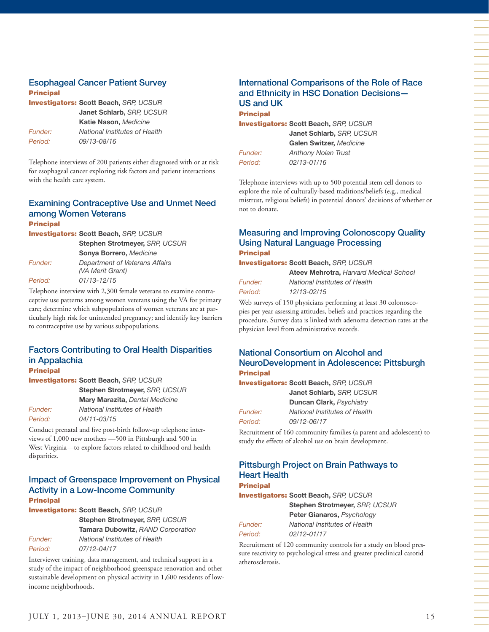#### Esophageal Cancer Patient Survey **Principal**

| <b>Investigators: Scott Beach, SRP, UCSUR</b> |
|-----------------------------------------------|
| Janet Schlarb, SRP, UCSUR                     |
| Katie Nason, Medicine                         |
| National Institutes of Health                 |
| 09/13-08/16                                   |
|                                               |

Telephone interviews of 200 patients either diagnosed with or at risk for esophageal cancer exploring risk factors and patient interactions with the health care system.

#### Examining Contraceptive Use and Unmet Need among Women Veterans **Principal**

| <b>Investigators: Scott Beach, SRP, UCSUR</b> |                                                    |  |  |  |
|-----------------------------------------------|----------------------------------------------------|--|--|--|
|                                               | Stephen Strotmeyer, SRP, UCSUR                     |  |  |  |
|                                               | Sonya Borrero, Medicine                            |  |  |  |
| Funder:                                       | Department of Veterans Affairs<br>(VA Merit Grant) |  |  |  |
| Period:                                       | $01/13 - 12/15$                                    |  |  |  |

Telephone interview with 2,300 female veterans to examine contraceptive use patterns among women veterans using the VA for primary care; determine which subpopulations of women veterans are at particularly high risk for unintended pregnancy; and identify key barriers to contraceptive use by various subpopulations.

# Factors Contributing to Oral Health Disparities in Appalachia

**Principal** 

Investigators: **Scott Beach,** *SRP, UCSUR*  **Stephen Strotmeyer,** *SRP, UCSUR*  **Mary Marazita,** *Dental Medicine Funder: National Institutes of Health Period: 04/11-03/15*

Conduct prenatal and five post-birth follow-up telephone interviews of 1,000 new mothers —500 in Pittsburgh and 500 in West Virginia—to explore factors related to childhood oral health disparities.

#### Impact of Greenspace Improvement on Physical Activity in a Low-Income Community **Principal**

Investigators: **Scott Beach,** *SRP, UCSUR* 

**Stephen Strotmeyer,** *SRP, UCSUR*  **Tamara Dubowitz,** *RAND Corporation Funder: National Institutes of Health Period: 07/12-04/17*

Interviewer training, data management, and technical support in a study of the impact of neighborhood greenspace renovation and other sustainable development on physical activity in 1,600 residents of lowincome neighborhoods.

## International Comparisons of the Role of Race and Ethnicity in HSC Donation Decisions— US and UK

Principal Investigators: **Scott Beach,** *SRP, UCSUR*  **Janet Schlarb,** *SRP, UCSUR*  **Galen Switzer,** *Medicine* 

*Funder: Anthony Nolan Trust Period: 02/13-01/16*

Telephone interviews with up to 500 potential stem cell donors to explore the role of culturally-based traditions/beliefs (e.g., medical mistrust, religious beliefs) in potential donors' decisions of whether or not to donate.

#### Measuring and Improving Colonoscopy Quality Using Natural Language Processing **Principal**

Investigators: **Scott Beach,** *SRP, UCSUR* 

**Ateev Mehrotra,** *Harvard Medical School Funder: National Institutes of Health Period: 12/13-02/15*

Web surveys of 150 physicians performing at least 30 colonoscopies per year assessing attitudes, beliefs and practices regarding the procedure. Survey data is linked with adenoma detection rates at the physician level from administrative records.

#### National Consortium on Alcohol and NeuroDevelopment in Adolescence: Pittsburgh Principal

Investigators: **Scott Beach,** *SRP, UCSUR*  **Janet Schlarb,** *SRP, UCSUR*  **Duncan Clark,** *Psychiatry Funder: National Institutes of Health Period: 09/12-06/17*

Recruitment of 160 community families (a parent and adolescent) to study the effects of alcohol use on brain development.

#### Pittsburgh Project on Brain Pathways to Heart Health **Principal**

Investigators: **Scott Beach,** *SRP, UCSUR* 

**Stephen Strotmeyer,** *SRP, UCSUR* 

**Peter Gianaros,** *Psychology Funder: National Institutes of Health Period: 02/12-01/17*

Recruitment of 120 community controls for a study on blood pressure reactivity to psychological stress and greater preclinical carotid atherosclerosis.

一个人,我们就是一个人,我们就是一个人,我们就是一个人,我们就是一个人,我们就是一个人,我们就是一个人,我们就是一个人,我们就是一个人,我们就是一个人,我们就是一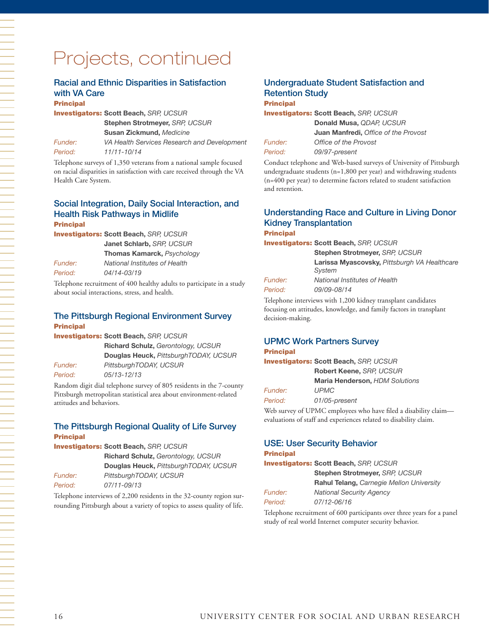# Projects, continued

#### Racial and Ethnic Disparities in Satisfaction with VA Care

#### **Principal**

Investigators: **Scott Beach,** *SRP, UCSUR*  **Stephen Strotmeyer,** *SRP, UCSUR*  **Susan Zickmund,** *Medicine*

*Funder: VA Health Services Research and Development Period: 11/11-10/14*

Telephone surveys of 1,350 veterans from a national sample focused on racial disparities in satisfaction with care received through the VA Health Care System.

#### Social Integration, Daily Social Interaction, and Health Risk Pathways in Midlife Principal

Investigators: **Scott Beach,** *SRP, UCSUR* 

**Janet Schlarb,** *SRP, UCSUR* 

**Thomas Kamarck,** *Psychology* 

*Funder: National Institutes of Health Period: 04/14-03/19*

Telephone recruitment of 400 healthy adults to participate in a study about social interactions, stress, and health.

#### The Pittsburgh Regional Environment Survey Principal

Investigators: **Scott Beach,** *SRP, UCSUR*  **Richard Schulz,** *Gerontology, UCSUR*  **Douglas Heuck,** *PittsburghTODAY, UCSUR Funder: PittsburghTODAY, UCSUR Period: 05/13-12/13*

Random digit dial telephone survey of 805 residents in the 7-county Pittsburgh metropolitan statistical area about environment-related attitudes and behaviors.

#### The Pittsburgh Regional Quality of Life Survey **Principal**

Investigators: **Scott Beach,** *SRP, UCSUR* 

|                | <b>Richard Schulz, Gerontology, UCSUR</b> |  |  |  |  |
|----------------|-------------------------------------------|--|--|--|--|
|                | Douglas Heuck, PittsburghTODAY, UCSUR     |  |  |  |  |
| <i>Funder:</i> | PittsburghTODAY, UCSUR                    |  |  |  |  |
| Period:        | 07/11-09/13                               |  |  |  |  |

Telephone interviews of 2,200 residents in the 32-county region surrounding Pittsburgh about a variety of topics to assess quality of life.

## Undergraduate Student Satisfaction and Retention Study

#### **Principal**

Investigators: **Scott Beach,** *SRP, UCSUR* 

|                | Donald Musa, QDAP, UCSUR                    |  |  |  |  |
|----------------|---------------------------------------------|--|--|--|--|
|                | <b>Juan Manfredi, Office of the Provost</b> |  |  |  |  |
| <i>Funder:</i> | Office of the Provost                       |  |  |  |  |
| Period:        | 09/97-present                               |  |  |  |  |

Conduct telephone and Web-based surveys of University of Pittsburgh undergraduate students (n=1,800 per year) and withdrawing students (n=400 per year) to determine factors related to student satisfaction and retention.

#### Understanding Race and Culture in Living Donor Kidney Transplantation Principal

Investigators: **Scott Beach,** *SRP, UCSUR* 

**Stephen Strotmeyer,** *SRP, UCSUR* **Larissa Myascovsky,** *Pittsburgh VA Healthcare System Funder: National Institutes of Health Period: 09/09-08/14*

Telephone interviews with 1,200 kidney transplant candidates focusing on attitudes, knowledge, and family factors in transplant decision-making.

#### UPMC Work Partners Survey Principal

### Investigators: **Scott Beach,** *SRP, UCSUR*  **Robert Keene,** *SRP, UCSUR*  **Maria Henderson,** *HDM Solutions Funder: UPMC Period: 01/05-present*

Web survey of UPMC employees who have filed a disability claim evaluations of staff and experiences related to disability claim.

# USE: User Security Behavior

#### **Principal**

Investigators: **Scott Beach,** *SRP, UCSUR*  **Stephen Strotmeyer,** *SRP, UCSUR* **Rahul Telang,** *Carnegie Mellon University Funder: National Security Agency Period: 07/12-06/16*

Telephone recruitment of 600 participants over three years for a panel study of real world Internet computer security behavior.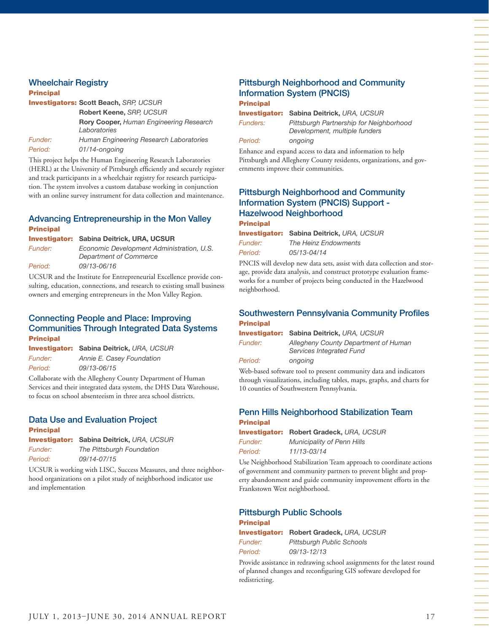#### Wheelchair Registry

#### Principal

|                | <b>Investigators: Scott Beach, SRP, UCSUR</b>                                       |  |  |  |  |
|----------------|-------------------------------------------------------------------------------------|--|--|--|--|
|                | Robert Keene, SRP, UCSUR<br>Rory Cooper, Human Engineering Research<br>Laboratories |  |  |  |  |
|                |                                                                                     |  |  |  |  |
| <i>Funder:</i> | Human Engineering Research Laboratories                                             |  |  |  |  |
| Period:        | 01/14-ongoing                                                                       |  |  |  |  |
| , <b>.</b>     |                                                                                     |  |  |  |  |

This project helps the Human Engineering Research Laboratories (HERL) at the University of Pittsburgh efficiently and securely register and track participants in a wheelchair registry for research participation. The system involves a custom database working in conjunction with an online survey instrument for data collection and maintenance.

#### Advancing Entrepreneurship in the Mon Valley Principal

Investigator: **Sabina Deitrick, URA, UCSUR**

| Funder: | Economic Development Administration, U.S. |
|---------|-------------------------------------------|
|         | Department of Commerce                    |
| Period: | 09/13-06/16                               |

UCSUR and the Institute for Entrepreneurial Excellence provide consulting, education, connections, and research to existing small business owners and emerging entrepreneurs in the Mon Valley Region.

#### Connecting People and Place: Improving Communities Through Integrated Data Systems Principal

|                       | <b>Investigator: Sabina Deitrick, URA, UCSUR</b> |
|-----------------------|--------------------------------------------------|
| <i><b>Funder:</b></i> | Annie E. Casey Foundation                        |
| Period:               | 09/13-06/15                                      |

Collaborate with the Allegheny County Department of Human Services and their integrated data system, the DHS Data Warehouse, to focus on school absenteeism in three area school districts.

### Data Use and Evaluation Project

| × | . .<br>- 7 | ., |  |  |
|---|------------|----|--|--|
|   |            |    |  |  |

Investigator: **Sabina Deitrick,** *URA, UCSUR Funder: The Pittsburgh Foundation Period: 09/14-07/15*

UCSUR is working with LISC, Success Measures, and three neighborhood organizations on a pilot study of neighborhood indicator use and implementation

#### Pittsburgh Neighborhood and Community Information System (PNCIS) **Principal**

Investigator: **Sabina Deitrick,** *URA, UCSUR Funders: Pittsburgh Partnership for Neighborhood Development, multiple funders* 

*Period: ongoing*

Enhance and expand access to data and information to help Pittsburgh and Allegheny County residents, organizations, and governments improve their communities.

#### Pittsburgh Neighborhood and Community Information System (PNCIS) Support - Hazelwood Neighborhood Principal

|                | <b>Investigator: Sabina Deitrick, URA, UCSUR</b> |
|----------------|--------------------------------------------------|
| <i>Funder:</i> | The Heinz Endowments                             |
| Period:        | 05/13-04/14                                      |

PNCIS will develop new data sets, assist with data collection and storage, provide data analysis, and construct prototype evaluation frameworks for a number of projects being conducted in the Hazelwood neighborhood.

#### Southwestern Pennsylvania Community Profiles **Principal**

|         | <b>Investigator: Sabina Deitrick, URA, UCSUR</b>                                                |  |
|---------|-------------------------------------------------------------------------------------------------|--|
| Funder: | Allegheny County Department of Human<br>Services Integrated Fund                                |  |
| Period: | ongoing                                                                                         |  |
|         | $\frac{1}{2}$ 1 1 $\frac{1}{2}$ 1 $\frac{1}{2}$ 1 $\frac{1}{2}$ 1 $\frac{1}{2}$ 1 $\frac{1}{2}$ |  |

Web-based software tool to present community data and indicators through visualizations, including tables, maps, graphs, and charts for 10 counties of Southwestern Pennsylvania.

#### Penn Hills Neighborhood Stabilization Team Principal

|                | <b>Investigator: Robert Gradeck, URA, UCSUR</b> |
|----------------|-------------------------------------------------|
| <b>Funder:</b> | <b>Municipality of Penn Hills</b>               |

*Period: 11/13-03/14*

Use Neighborhood Stabilization Team approach to coordinate actions of government and community partners to prevent blight and property abandonment and guide community improvement efforts in the Frankstown West neighborhood.

#### Pittsburgh Public Schools Principal

Investigator: **Robert Gradeck,** *URA, UCSUR* 

*Funder: Pittsburgh Public Schools Period: 09/13-12/13*

Provide assistance in redrawing school assignments for the latest round of planned changes and reconfiguring GIS software developed for redistricting.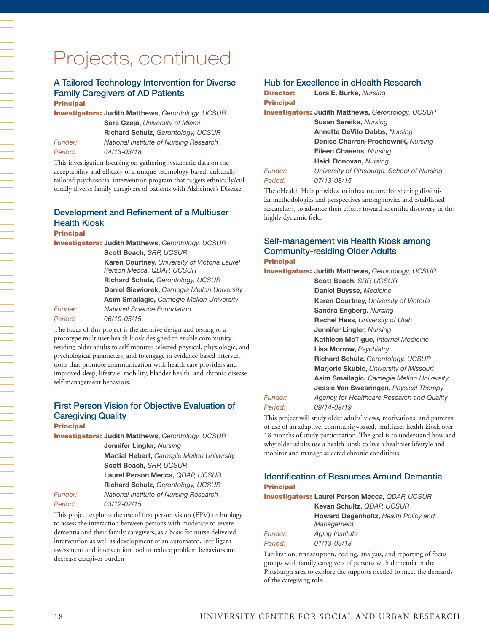#### A Tailored Technology Intervention for Diverse Family Caregivers of AD Patients **Principal**

Investigators: **Judith Matthews,** *Gerontology, UCSUR*  **Sara Czaja,** *University of Miami* **Richard Schulz,** *Gerontology, UCSUR Funder: National Institute of Nursing Research Period: 04/13-03/18*

This investigation focusing on gathering systematic data on the acceptability and efficacy of a unique technology-based, culturallytailored psychosocial intervention program that targets ethnically/culturally diverse family caregivers of patients with Alzheimer's Disease.

## Development and Refinement of a Multiuser Health Kiosk

Principal

|                       | <b>Investigators: Judith Matthews, Gerontology, UCSUR</b> |
|-----------------------|-----------------------------------------------------------|
|                       | Scott Beach, SRP, UCSUR                                   |
|                       | Karen Courtney, University of Victoria Laurel             |
|                       | Person Mecca, QDAP, UCSUR                                 |
|                       | Richard Schulz, Gerontology, UCSUR                        |
|                       | Daniel Siewiorek, Carnegie Mellon University              |
|                       | <b>Asim Smailagic, Carnegie Mellon University</b>         |
| <i><b>Funder:</b></i> | National Science Foundation                               |
| Period:               | 06/10-05/15                                               |

The focus of this project is the iterative design and testing of a prototype multiuser health kiosk designed to enable communityresiding older adults to self-monitor selected physical, physiologic, and psychological parameters, and to engage in evidence-based interventions that promote communication with health care providers and improved sleep, lifestyle, mobility, bladder health, and chronic disease self-management behaviors.

### First Person Vision for Objective Evaluation of Caregiving Quality

Principal

Investigators: **Judith Matthews,** *Gerontology, UCSUR* **Jennifer Lingler,** *Nursing*  **Martial Hebert,** *Carnegie Mellon University* **Scott Beach,** *SRP, UCSUR*  **Laurel Person Mecca,** *QDAP, UCSUR*  **Richard Schulz,** *Gerontology, UCSUR Funder: National Institute of Nursing Research Period: 03/12-02/15*

This project explores the use of first person vision (FPV) technology to assess the interaction between persons with moderate to severe dementia and their family caregivers, as a basis for nurse-delivered intervention as well as development of an automated, intelligent assessment and intervention tool to reduce problem behaviors and decrease caregiver burden

#### Hub for Excellence in eHealth Research

| <b>Director:</b> | Lora E. Burke, Nursing                                    |
|------------------|-----------------------------------------------------------|
| <b>Principal</b> |                                                           |
|                  | <b>Investigators: Judith Matthews, Gerontology, UCSUR</b> |
|                  | <b>Susan Sereika, Nursing</b>                             |
|                  | <b>Annette DeVito Dabbs, Nursing</b>                      |
|                  | Denise Charron-Prochownik, Nursing                        |
|                  | Eileen Chasens, Nursing                                   |
|                  | Heidi Donovan, Nursing                                    |
| Funder:          | University of Pittsburgh, School of Nursing               |
| Period:          | 07/13-08/15                                               |
|                  |                                                           |

The eHealth Hub provides an infrastructure for sharing dissimilar methodologies and perspectives among novice and established researchers, to advance their efforts toward scientific discovery in this highly dynamic field.

#### Self-management via Health Kiosk among Community-residing Older Adults **Principal**

Investigators: **Judith Matthews,** *Gerontology, UCSUR*

**Scott Beach,** *SRP, UCSUR*  **Daniel Buysse,** *Medicine* **Karen Courtney,** *University of Victoria* **Sandra Engberg,** *Nursing*  **Rachel Hess,** *University of Utah*  **Jennifer Lingler,** *Nursing* **Kathleen McTigue,** *Internal Medicine* **Lisa Morrow,** *Psychiatry*  **Richard Schulz,** *Gerontology, UCSUR*  **Marjorie Skubic,** *University of Missouri*  **Asim Smailagic,** *Carnegie Mellon University* **Jessie Van Swearingen,** *Physical Therapy Funder: Agency for Healthcare Research and Quality Period: 09/14-09/19*

This project will study older adults' views, motivations, and patterns of use of an adaptive, community-based, multiuser health kiosk over 18 months of study participation. The goal is to understand how and why older adults use a health kiosk to live a healthier lifestyle and monitor and manage selected chronic conditions.

### Identification of Resources Around Dementia **Principal**

Investigators: **Laurel Person Mecca,** *QDAP, UCSUR*  **Kevan Schultz,** *QDAP, UCSUR* **Howard Degenholtz,** *Health Policy and Management*

| <b>Aging Institute</b> |
|------------------------|
| 01/13-09/13            |
|                        |

Facilitation, transcription, coding, analysis, and reporting of focus groups with family caregivers of persons with dementia in the Pittsburgh area to explore the supports needed to meet the demands of the caregiving role.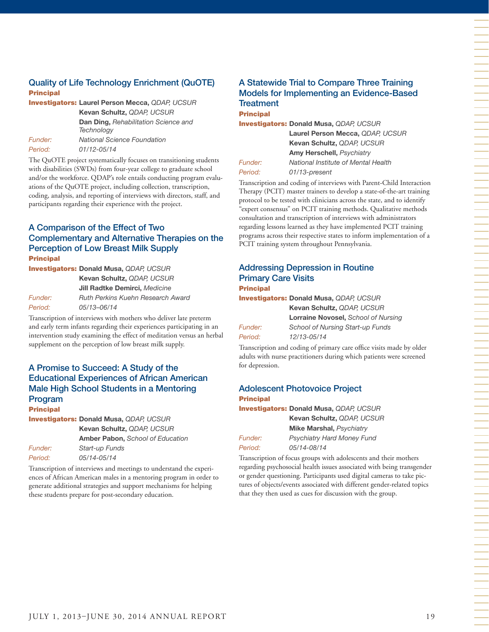## Quality of Life Technology Enrichment (QuOTE) Principal



The QuOTE project systematically focuses on transitioning students with disabilities (SWDs) from four-year college to graduate school and/or the workforce. QDAP's role entails conducting program evaluations of the QuOTE project, including collection, transcription, coding, analysis, and reporting of interviews with directors, staff, and participants regarding their experience with the project.

#### A Comparison of the Effect of Two Complementary and Alternative Therapies on the Perception of Low Breast Milk Supply Principal

|         | <b>Investigators: Donald Musa, QDAP, UCSUR</b> |
|---------|------------------------------------------------|
|         | Kevan Schultz, QDAP, UCSUR                     |
|         | <b>Jill Radtke Demirci.</b> Medicine           |
| Funder: | <b>Ruth Perkins Kuehn Research Award</b>       |
| Period: | 05/13-06/14                                    |

Transcription of interviews with mothers who deliver late preterm and early term infants regarding their experiences participating in an intervention study examining the effect of meditation versus an herbal supplement on the perception of low breast milk supply.

#### A Promise to Succeed: A Study of the Educational Experiences of African American Male High School Students in a Mentoring Program

#### **Principal**

Investigators: **Donald Musa,** *QDAP, UCSUR* 

**Kevan Schultz,** *QDAP, UCSUR*  **Amber Pabon,** *School of Education Funder: Start-up Funds Period: 05/14-05/14*

Transcription of interviews and meetings to understand the experiences of African American males in a mentoring program in order to generate additional strategies and support mechanisms for helping these students prepare for post-secondary education.

#### A Statewide Trial to Compare Three Training Models for Implementing an Evidence-Based **Treatment** Principal

Investigators: **Donald Musa,** *QDAP, UCSUR*

|                       | Laurel Person Mecca, QDAP, UCSUR    |  |
|-----------------------|-------------------------------------|--|
|                       | <b>Kevan Schultz, ODAP, UCSUR</b>   |  |
|                       | <b>Amy Herschell, Psychiatry</b>    |  |
| <i><b>Funder:</b></i> | National Institute of Mental Health |  |

*Period: 01/13-present*

Transcription and coding of interviews with Parent-Child Interaction Therapy (PCIT) master trainers to develop a state-of-the-art training protocol to be tested with clinicians across the state, and to identify "expert consensus" on PCIT training methods. Qualitative methods consultation and transcription of interviews with administrators regarding lessons learned as they have implemented PCIT training programs across their respective states to inform implementation of a PCIT training system throughout Pennsylvania.

|                  | <b>Addressing Depression in Routine</b> |  |
|------------------|-----------------------------------------|--|
|                  | <b>Primary Care Visits</b>              |  |
| <b>Principal</b> |                                         |  |

Investigators: **Donald Musa,** *QDAP, UCSUR* 

|         | Kevan Schultz, QDAP, UCSUR          |
|---------|-------------------------------------|
|         | Lorraine Novosel, School of Nursing |
| Funder: | School of Nursing Start-up Funds    |
| Period: | 12/13-05/14                         |
|         |                                     |

Transcription and coding of primary care office visits made by older adults with nurse practitioners during which patients were screened for depression.

#### Adolescent Photovoice Project Principal

Investigators: **Donald Musa,** *QDAP, UCSUR*  **Kevan Schultz,** *QDAP, UCSUR*  **Mike Marshal,** *Psychiatry Funder: Psychiatry Hard Money Fund Period: 05/14-08/14*

Transcription of focus groups with adolescents and their mothers regarding psychosocial health issues associated with being transgender or gender questioning. Participants used digital cameras to take pictures of objects/events associated with different gender-related topics that they then used as cues for discussion with the group.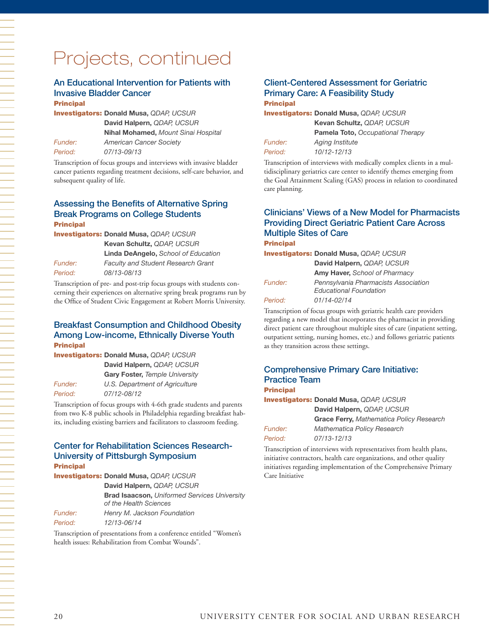# Projects, continued

## An Educational Intervention for Patients with Invasive Bladder Cancer

#### **Principal**

Investigators: **Donald Musa,** *QDAP, UCSUR*  **David Halpern,** *QDAP, UCSUR* **Nihal Mohamed,** *Mount Sinai Hospital Funder: American Cancer Society Period: 07/13-09/13*

Transcription of focus groups and interviews with invasive bladder cancer patients regarding treatment decisions, self-care behavior, and subsequent quality of life.

#### Assessing the Benefits of Alternative Spring Break Programs on College Students Principal

Investigators: **Donald Musa,** *QDAP, UCSUR* 

**Kevan Schultz,** *QDAP, UCSUR* **Linda DeAngelo,** *School of Education Funder: Faculty and Student Research Grant Period: 08/13-08/13*

Transcription of pre- and post-trip focus groups with students concerning their experiences on alternative spring break programs run by the Office of Student Civic Engagement at Robert Morris University.

#### Breakfast Consumption and Childhood Obesity Among Low-income, Ethnically Diverse Youth **Principal**

Investigators: **Donald Musa,** *QDAP, UCSUR*  **David Halpern,** *QDAP, UCSUR*  **Gary Foster,** *Temple University Funder: U.S. Department of Agriculture Period: 07/12-08/12*

Transcription of focus groups with 4-6th grade students and parents from two K-8 public schools in Philadelphia regarding breakfast habits, including existing barriers and facilitators to classroom feeding.

#### Center for Rehabilitation Sciences Research-University of Pittsburgh Symposium **Principal**

Investigators: **Donald Musa,** *QDAP, UCSUR*  **David Halpern,** *QDAP, UCSUR* **Brad Isaacson,** *Uniformed Services University of the Health Sciences Funder: Henry M. Jackson Foundation*

*Period: 12/13-06/14*

Transcription of presentations from a conference entitled "Women's health issues: Rehabilitation from Combat Wounds".

#### Client-Centered Assessment for Geriatric Primary Care: A Feasibility Study **Principal**

Investigators: **Donald Musa,** *QDAP, UCSUR*  **Kevan Schultz,** *QDAP, UCSUR*  **Pamela Toto,** *Occupational Therapy*

Aging Institute

| <b>Funder:</b> |  |
|----------------|--|
| Period:        |  |

care planning.

*Period: 10/12-12/13* Transcription of interviews with medically complex clients in a multidisciplinary geriatrics care center to identify themes emerging from the Goal Attainment Scaling (GAS) process in relation to coordinated

## Clinicians' Views of a New Model for Pharmacists Providing Direct Geriatric Patient Care Across Multiple Sites of Care

Principal

*Period* 

|                | <b>Investigators: Donald Musa, QDAP, UCSUR</b>                        |
|----------------|-----------------------------------------------------------------------|
|                | David Halpern, QDAP, UCSUR                                            |
|                | <b>Amy Haver, School of Pharmacy</b>                                  |
| <i>Funder:</i> | Pennsylvania Pharmacists Association<br><b>Educational Foundation</b> |
| Period:        | 01/14-02/14                                                           |

Transcription of focus groups with geriatric health care providers regarding a new model that incorporates the pharmacist in providing direct patient care throughout multiple sites of care (inpatient setting, outpatient setting, nursing homes, etc.) and follows geriatric patients as they transition across these settings.

#### Comprehensive Primary Care Initiative: Practice Team **Principal**

Investigators: **Donald Musa,** *QDAP, UCSUR*  **David Halpern,** *QDAP, UCSUR* **Grace Ferry,** *Mathematica Policy Research Funder: Mathematica Policy Research Period: 07/13-12/13*

Transcription of interviews with representatives from health plans, initiative contractors, health care organizations, and other quality initiatives regarding implementation of the Comprehensive Primary Care Initiative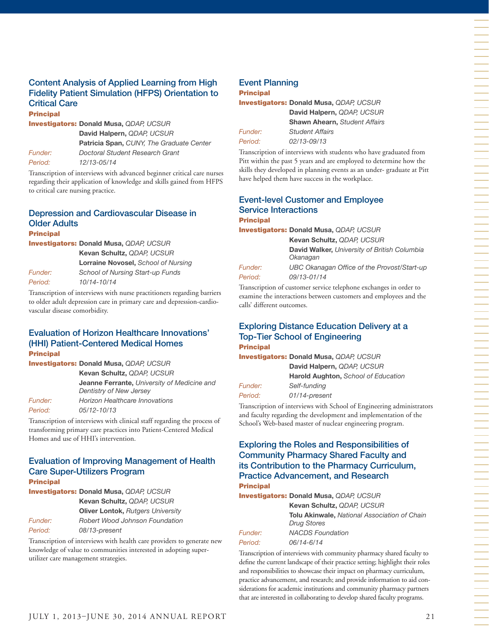#### Content Analysis of Applied Learning from High Fidelity Patient Simulation (HFPS) Orientation to Critical Care Principal

Investigators: **Donald Musa,** *QDAP, UCSUR*  **David Halpern,** *QDAP, UCSUR* **Patricia Span,** *CUNY, The Graduate Center Funder: Doctoral Student Research Grant Period: 12/13-05/14*

Transcription of interviews with advanced beginner critical care nurses regarding their application of knowledge and skills gained from HFPS to critical care nursing practice.

#### Depression and Cardiovascular Disease in Older Adults Principal Investigators: **Donald Musa,** *QDAP, UCSUR*

**Kevan Schultz,** *QDAP, UCSUR*  **Lorraine Novosel,** *School of Nursing Funder: School of Nursing Start-up Funds Period: 10/14-10/14*

Transcription of interviews with nurse practitioners regarding barriers to older adult depression care in primary care and depression-cardiovascular disease comorbidity.

#### Evaluation of Horizon Healthcare Innovations' (HHI) Patient-Centered Medical Homes **Principal**

Investigators: **Donald Musa,** *QDAP, UCSUR* 

**Kevan Schultz,** *QDAP, UCSUR* **Jeanne Ferrante,** *University of Medicine and Dentistry of New Jersey Funder: Horizon Healthcare Innovations Period: 05/12-10/13*

Transcription of interviews with clinical staff regarding the process of transforming primary care practices into Patient-Centered Medical Homes and use of HHI's intervention.

#### Evaluation of Improving Management of Health Care Super-Utilizers Program **Principal**

Investigators: **Donald Musa,** *QDAP, UCSUR* 

**Kevan Schultz,** *QDAP, UCSUR*  **Oliver Lontok,** *Rutgers University*

*Funder: Robert Wood Johnson Foundation Period: 08/13-present*

Transcription of interviews with health care providers to generate new knowledge of value to communities interested in adopting superutilizer care management strategies.

# Event Planning

### Principal

Investigators: **Donald Musa,** *QDAP, UCSUR*  **David Halpern,** *QDAP, UCSUR* 

|                | <b>David Halperii,</b> GDAI, UCOUTT  |
|----------------|--------------------------------------|
|                | <b>Shawn Ahearn, Student Affairs</b> |
| <b>Funder:</b> | <b>Student Affairs</b>               |
| Period:        | 02/13-09/13                          |

Transcription of interviews with students who have graduated from Pitt within the past 5 years and are employed to determine how the skills they developed in planning events as an under- graduate at Pitt have helped them have success in the workplace.

#### Event-level Customer and Employee Service Interactions Principal

Investigators: **Donald Musa,** *QDAP, UCSUR* 

**Kevan Schultz,** *QDAP, UCSUR* **David Walker,** *University of British Columbia Okanagan Funder: UBC Okanagan Office of the Provost/Start-up*

*Period: 09/13-01/14*

Transcription of customer service telephone exchanges in order to examine the interactions between customers and employees and the calls' different outcomes.

#### Exploring Distance Education Delivery at a Top-Tier School of Engineering Principal

Investigators: **Donald Musa,** *QDAP, UCSUR*  **David Halpern,** *QDAP, UCSUR*  **Harold Aughton,** *School of Education Funder: Self-funding Period: 01/14-present*

Transcription of interviews with School of Engineering administrators and faculty regarding the development and implementation of the School's Web-based master of nuclear engineering program.

#### Exploring the Roles and Responsibilities of Community Pharmacy Shared Faculty and its Contribution to the Pharmacy Curriculum, Practice Advancement, and Research **Principal**

Investigators: **Donald Musa,** *QDAP, UCSUR* 

**Kevan Schultz,** *QDAP, UCSUR* **Tolu Akinwale,** *National Association of Chain Drug Stores Funder: NACDS Foundation*

*Period: 06/14-6/14*

Transcription of interviews with community pharmacy shared faculty to define the current landscape of their practice setting; highlight their roles and responsibilities to showcase their impact on pharmacy curriculum, practice advancement, and research; and provide information to aid considerations for academic institutions and community pharmacy partners

that are interested in collaborating to develop shared faculty programs.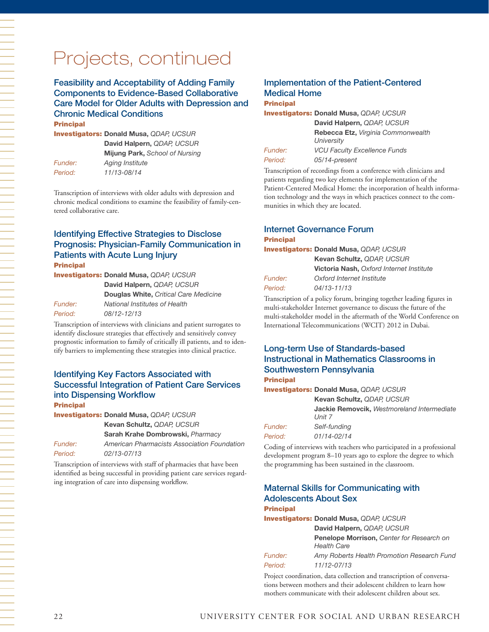# Projects, continued

#### Feasibility and Acceptability of Adding Family Components to Evidence-Based Collaborative Care Model for Older Adults with Depression and Chronic Medical Conditions

Principal

Investigators: **Donald Musa,** *QDAP, UCSUR*  **David Halpern,** *QDAP, UCSUR*  **Mijung Park,** *School of Nursing Funder: Aging Institute Period: 11/13-08/14*

Transcription of interviews with older adults with depression and chronic medical conditions to examine the feasibility of family-centered collaborative care.

#### Identifying Effective Strategies to Disclose Prognosis: Physician-Family Communication in Patients with Acute Lung Injury **Principal**

Investigators: **Donald Musa,** *QDAP, UCSUR* 

**David Halpern,** *QDAP, UCSUR*  **Douglas White,** *Critical Care Medicine Funder: National Institutes of Health Period: 08/12-12/13*

Transcription of interviews with clinicians and patient surrogates to identify disclosure strategies that effectively and sensitively convey prognostic information to family of critically ill patients, and to identify barriers to implementing these strategies into clinical practice.

#### Identifying Key Factors Associated with Successful Integration of Patient Care Services into Dispensing Workflow **Principal**

Investigators: **Donald Musa,** *QDAP, UCSUR*  **Kevan Schultz,** *QDAP, UCSUR*  **Sarah Krahe Dombrowski,** *Pharmacy Funder: American Pharmacists Association Foundation Period: 02/13-07/13*

Transcription of interviews with staff of pharmacies that have been identified as being successful in providing patient care services regarding integration of care into dispensing workflow.

## Implementation of the Patient-Centered Medical Home

#### **Principal**

Investigators: **Donald Musa,** *QDAP, UCSUR* 

| <i><b>Funder:</b></i> |  |
|-----------------------|--|
| Period:               |  |

**David Halpern,** *QDAP, UCSUR* **Rebecca Etz,** *Virginia Commonwealth University Funder: VCU Faculty Excellence Funds Period: 05/14-present*

Transcription of recordings from a conference with clinicians and patients regarding two key elements for implementation of the Patient-Centered Medical Home: the incorporation of health information technology and the ways in which practices connect to the communities in which they are located.

#### Internet Governance Forum **Principal**

#### Investigators: **Donald Musa,** *QDAP, UCSUR*

|         | Kevan Schultz, QDAP, UCSUR                      |
|---------|-------------------------------------------------|
|         | <b>Victoria Nash, Oxford Internet Institute</b> |
| Funder: | Oxford Internet Institute                       |
| Period: | $04/13 - 11/13$                                 |

Transcription of a policy forum, bringing together leading figures in multi-stakeholder Internet governance to discuss the future of the multi-stakeholder model in the aftermath of the World Conference on International Telecommunications (WCIT) 2012 in Dubai.

### Long-term Use of Standards-based Instructional in Mathematics Classrooms in Southwestern Pennsylvania

#### Principal

Investigators: **Donald Musa,** *QDAP, UCSUR*  **Kevan Schultz,** *QDAP, UCSUR* **Jackie Removcik,** *Westmoreland Intermediate Unit 7 Funder: Self-funding* 

*Period: 01/14-02/14*

Coding of interviews with teachers who participated in a professional development program 8–10 years ago to explore the degree to which the programming has been sustained in the classroom.

#### Maternal Skills for Communicating with Adolescents About Sex **Principal**

Investigators: **Donald Musa,** *QDAP, UCSUR* 

**David Halpern,** *QDAP, UCSUR* **Penelope Morrison,** *Center for Research on Health Care Funder: Amy Roberts Health Promotion Research Fund*

*Period: 11/12-07/13* Project coordination, data collection and transcription of conversa-

tions between mothers and their adolescent children to learn how mothers communicate with their adolescent children about sex.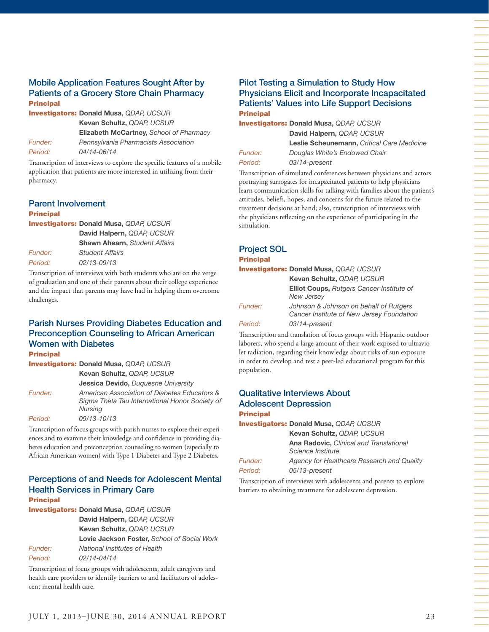#### Mobile Application Features Sought After by Patients of a Grocery Store Chain Pharmacy **Principal**

Investigators: **Donald Musa,** *QDAP, UCSUR*  **Kevan Schultz,** *QDAP, UCSUR* **Elizabeth McCartney,** *School of Pharmacy Funder: Pennsylvania Pharmacists Association Period: 04/14-06/14*

Transcription of interviews to explore the specific features of a mobile application that patients are more interested in utilizing from their pharmacy.

#### Parent Involvement

#### Principal

|         | <b>Investigators: Donald Musa, QDAP, UCSUR</b> |
|---------|------------------------------------------------|
|         | David Halpern, QDAP, UCSUR                     |
|         | <b>Shawn Ahearn, Student Affairs</b>           |
| Funder: | <b>Student Affairs</b>                         |
| Period: | 02/13-09/13                                    |

Transcription of interviews with both students who are on the verge of graduation and one of their parents about their college experience and the impact that parents may have had in helping them overcome challenges.

#### Parish Nurses Providing Diabetes Education and Preconception Counseling to African American Women with Diabetes **Principal**

Investigators: **Donald Musa,** *QDAP, UCSUR*  **Kevan Schultz,** *QDAP, UCSUR*  **Jessica Devido,** *Duquesne University Funder: American Association of Diabetes Educators & Sigma Theta Tau International Honor Society of Nursing Period: 09/13-10/13*

Transcription of focus groups with parish nurses to explore their experiences and to examine their knowledge and confidence in providing diabetes education and preconception counseling to women (especially to African American women) with Type 1 Diabetes and Type 2 Diabetes.

#### Perceptions of and Needs for Adolescent Mental Health Services in Primary Care **Principal**

|         | <b>Investigators: Donald Musa, QDAP, UCSUR</b> |
|---------|------------------------------------------------|
|         | David Halpern, QDAP, UCSUR                     |
|         | Kevan Schultz, QDAP, UCSUR                     |
|         | Lovie Jackson Foster, School of Social Work    |
| Funder: | National Institutes of Health                  |
| Period: | 02/14-04/14                                    |

Transcription of focus groups with adolescents, adult caregivers and health care providers to identify barriers to and facilitators of adolescent mental health care.

#### Pilot Testing a Simulation to Study How Physicians Elicit and Incorporate Incapacitated Patients' Values into Life Support Decisions **Principal**

Investigators: **Donald Musa,** *QDAP, UCSUR*  **David Halpern,** *QDAP, UCSUR* **Leslie Scheunemann,** *Critical Care Medicine Funder: Douglas White's Endowed Chair*

*Period: 03/14-present*

Transcription of simulated conferences between physicians and actors portraying surrogates for incapacitated patients to help physicians learn communication skills for talking with families about the patient's attitudes, beliefs, hopes, and concerns for the future related to the treatment decisions at hand; also, transcription of interviews with the physicians reflecting on the experience of participating in the simulation.

# Project SOL

Principal

Investigators: **Donald Musa,** *QDAP, UCSUR*  **Kevan Schultz,** *QDAP, UCSUR* **Elliot Coups,** *Rutgers Cancer Institute of New Jersey Funder: Johnson & Johnson on behalf of Rutgers Cancer Institute of New Jersey Foundation* 

*Period: 03/14-present*

Transcription and translation of focus groups with Hispanic outdoor laborers, who spend a large amount of their work exposed to ultraviolet radiation, regarding their knowledge about risks of sun exposure in order to develop and test a peer-led educational program for this population.

#### Qualitative Interviews About Adolescent Depression **Principal**

Investigators: **Donald Musa,** *QDAP, UCSUR* 

**Kevan Schultz,** *QDAP, UCSUR* **Ana Radovic,** *Clinical and Translational Science Institute Funder: Agency for Healthcare Research and Quality Period: 05/13-present*

Transcription of interviews with adolescents and parents to explore barriers to obtaining treatment for adolescent depression.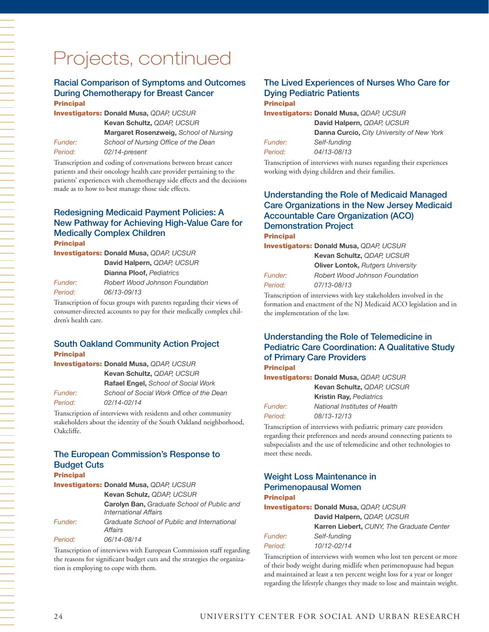#### Racial Comparison of Symptoms and Outcomes During Chemotherapy for Breast Cancer **Principal**

Investigators: **Donald Musa,** *QDAP, UCSUR*  **Kevan Schultz,** *QDAP, UCSUR* **Margaret Rosenzweig,** *School of Nursing Funder: School of Nursing Office of the Dean Period: 02/14-present*

Transcription and coding of conversations between breast cancer patients and their oncology health care provider pertaining to the patients' experiences with chemotherapy side effects and the decisions made as to how to best manage those side effects.

## Redesigning Medicaid Payment Policies: A New Pathway for Achieving High-Value Care for Medically Complex Children

**Principal** 

Investigators: **Donald Musa,** *QDAP, UCSUR* 

**David Halpern,** *QDAP, UCSUR*  **Dianna Ploof,** *Pediatrics Funder: Robert Wood Johnson Foundation Period: 06/13-09/13*

Transcription of focus groups with parents regarding their views of consumer-directed accounts to pay for their medically complex children's health care.

#### South Oakland Community Action Project **Principal**

|                       | <b>Investigators: Donald Musa, QDAP, UCSUR</b> |
|-----------------------|------------------------------------------------|
|                       | Kevan Schultz, QDAP, UCSUR                     |
|                       | <b>Rafael Engel, School of Social Work</b>     |
| <i><b>Funder:</b></i> | School of Social Work Office of the Dean       |
| Period:               | 02/14-02/14                                    |

Transcription of interviews with residents and other community stakeholders about the identity of the South Oakland neighborhood, Oakcliffe.

#### The European Commission's Response to Budget Cuts **Drincipal**

| гинскан |                                                                                   |
|---------|-----------------------------------------------------------------------------------|
|         | <b>Investigators: Donald Musa, QDAP, UCSUR</b>                                    |
|         | Kevan Schulz, QDAP, UCSUR                                                         |
|         | <b>Carolyn Ban, Graduate School of Public and</b><br><b>International Affairs</b> |
| Funder: | Graduate School of Public and International<br>Affairs                            |
| Period: | 06/14-08/14                                                                       |

Transcription of interviews with European Commission staff regarding the reasons for significant budget cuts and the strategies the organization is employing to cope with them.

## The Lived Experiences of Nurses Who Care for Dying Pediatric Patients

#### **Principal**

Investigators: **Donald Musa,** *QDAP, UCSUR*  **David Halpern,** *QDAP, UCSUR*

|                | <b>David Halpern, QDAP, UCSUR</b>                |
|----------------|--------------------------------------------------|
|                | <b>Danna Curcio, City University of New York</b> |
| <i>Funder:</i> | Self-fundina                                     |
| Period:        | 04/13-08/13                                      |
|                |                                                  |

Transcription of interviews with nurses regarding their experiences working with dying children and their families.

#### Understanding the Role of Medicaid Managed Care Organizations in the New Jersey Medicaid Accountable Care Organization (ACO) Demonstration Project **Principal**

Investigators: **Donald Musa,** *QDAP, UCSUR* 

| Kevan Schultz, QDAP, UCSUR               |
|------------------------------------------|
| <b>Oliver Lontok, Rutgers University</b> |
| <b>Robert Wood Johnson Foundation</b>    |
| 07/13-08/13                              |

Transcription of interviews with key stakeholders involved in the formation and enactment of the NJ Medicaid ACO legislation and in the implementation of the law.

## Understanding the Role of Telemedicine in Pediatric Care Coordination: A Qualitative Study of Primary Care Providers

#### Principal

*Funder: Period:* 

Investigators: **Donald Musa,** *QDAP, UCSUR* 

|                | Kevan Schultz, QDAP, UCSUR     |
|----------------|--------------------------------|
|                | <b>Kristin Ray, Pediatrics</b> |
| <i>Funder:</i> | National Institutes of Health  |
| Period:        | 08/13-12/13                    |
|                |                                |

Transcription of interviews with pediatric primary care providers regarding their preferences and needs around connecting patients to subspecialists and the use of telemedicine and other technologies to meet these needs.

#### Weight Loss Maintenance in Perimenopausal Women Principal

#### Investigators: **Donald Musa,** *QDAP, UCSUR*

|                | David Halpern, QDAP, UCSUR                |
|----------------|-------------------------------------------|
|                | Karren Liebert, CUNY, The Graduate Center |
| <i>Funder:</i> | Self-fundina                              |
| Period:        | 10/12-02/14                               |

Transcription of interviews with women who lost ten percent or more of their body weight during midlife when perimenopause had begun and maintained at least a ten percent weight loss for a year or longer regarding the lifestyle changes they made to lose and maintain weight.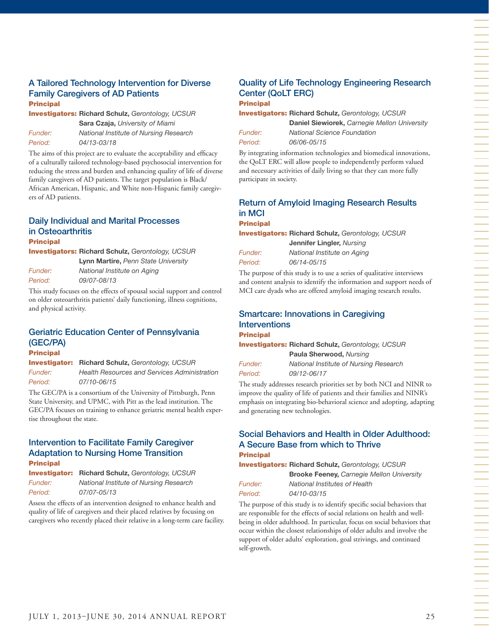#### A Tailored Technology Intervention for Diverse Family Caregivers of AD Patients Principal

Investigators: **Richard Schulz,** *Gerontology, UCSUR* 

**Sara Czaja,** *University of Miami Funder: National Institute of Nursing Research Period: 04/13-03/18*

The aims of this project are to evaluate the acceptability and efficacy of a culturally tailored technology-based psychosocial intervention for reducing the stress and burden and enhancing quality of life of diverse family caregivers of AD patients. The target population is Black/ African American, Hispanic, and White non-Hispanic family caregivers of AD patients.

#### Daily Individual and Marital Processes in Osteoarthritis

#### Principal

Investigators: **Richard Schulz,** *Gerontology, UCSUR* 

**Lynn Martire,** *Penn State University Funder: National Institute on Aging Period: 09/07-08/13*

This study focuses on the effects of spousal social support and control on older osteoarthritis patients' daily functioning, illness cognitions, and physical activity.

# Geriatric Education Center of Pennsylvania (GEC/PA)

#### Principal

Investigator: **Richard Schulz,** *Gerontology, UCSUR Funder: Health Resources and Services Administration Period: 07/10-06/15*

The GEC/PA is a consortium of the University of Pittsburgh, Penn State University, and UPMC, with Pitt as the lead institution. The GEC/PA focuses on training to enhance geriatric mental health expertise throughout the state.

#### Intervention to Facilitate Family Caregiver Adaptation to Nursing Home Transition **Principal**

|                | <b>Investigator:</b> Richard Schulz, Gerontology, UCSUR |
|----------------|---------------------------------------------------------|
| <i>Funder:</i> | National Institute of Nursing Research                  |
| Period:        | 07/07-05/13                                             |

Assess the effects of an intervention designed to enhance health and quality of life of caregivers and their placed relatives by focusing on caregivers who recently placed their relative in a long-term care facility.

#### Quality of Life Technology Engineering Research Center (QoLT ERC) **Principal**

Investigators: **Richard Schulz,** *Gerontology, UCSUR*  **Daniel Siewiorek,** *Carnegie Mellon University* 

| <b>Funder:</b> |  |
|----------------|--|
| Period:        |  |

*Funder: National Science Foundation Period: 06/06-05/15*

By integrating information technologies and biomedical innovations, the QoLT ERC will allow people to independently perform valued and necessary activities of daily living so that they can more fully participate in society.

## Return of Amyloid Imaging Research Results in MCI

#### **Principal**

Investigators: **Richard Schulz,** *Gerontology, UCSUR*

|                | Jennifer Lingler, Nursing   |
|----------------|-----------------------------|
| <i>Funder:</i> | National Institute on Aging |
| Period:        | 06/14-05/15                 |

The purpose of this study is to use a series of qualitative interviews and content analysis to identify the information and support needs of MCI care dyads who are offered amyloid imaging research results.

#### Smartcare: Innovations in Caregiving Interventions

#### **Principal**

| <b>Investigators: Richard Schulz, Gerontology, UCSUR</b> |                                        |
|----------------------------------------------------------|----------------------------------------|
|                                                          | Paula Sherwood, Nursing                |
| Funder:                                                  | National Institute of Nursing Research |
| Period:                                                  | 09/12-06/17                            |
|                                                          |                                        |

The study addresses research priorities set by both NCI and NINR to improve the quality of life of patients and their families and NINR's emphasis on integrating bio-behavioral science and adopting, adapting and generating new technologies.

#### Social Behaviors and Health in Older Adulthood: A Secure Base from which to Thrive **Principal**

Investigators: **Richard Schulz,** *Gerontology, UCSUR*

*Period: 04/10-03/15*

**Brooke Feeney,** *Carnegie Mellon University Funder: National Institutes of Health*

The purpose of this study is to identify specific social behaviors that are responsible for the effects of social relations on health and wellbeing in older adulthood. In particular, focus on social behaviors that occur within the closest relationships of older adults and involve the support of older adults' exploration, goal strivings, and continued self-growth.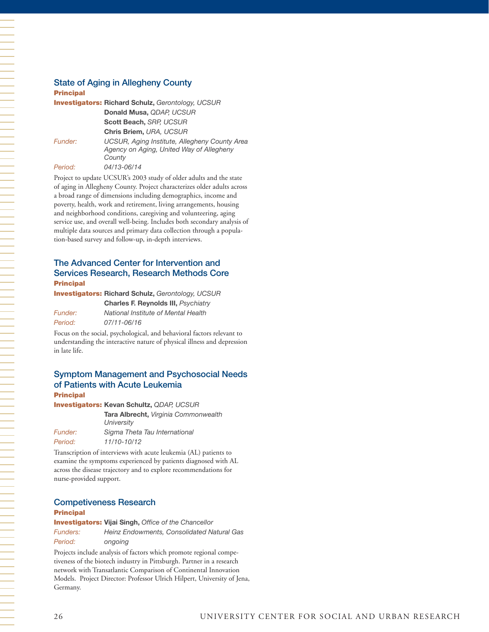#### State of Aging in Allegheny County

#### Principal

|         | <b>Investigators: Richard Schulz, Gerontology, UCSUR</b>                                            |
|---------|-----------------------------------------------------------------------------------------------------|
|         | Donald Musa, QDAP, UCSUR                                                                            |
|         | Scott Beach, SRP, UCSUR                                                                             |
|         | Chris Briem, URA, UCSUR                                                                             |
| Funder: | UCSUR, Aging Institute, Allegheny County Area<br>Agency on Aging, United Way of Allegheny<br>County |
| Period: | 04/13-06/14                                                                                         |
|         | Design to unders LICSLID's 2002 study of alder adults and the state                                 |

Project to update UCSUR's 2003 study of older adults and the state of aging in Allegheny County. Project characterizes older adults across a broad range of dimensions including demographics, income and poverty, health, work and retirement, living arrangements, housing and neighborhood conditions, caregiving and volunteering, aging service use, and overall well-being. Includes both secondary analysis of multiple data sources and primary data collection through a population-based survey and follow-up, in-depth interviews.

#### The Advanced Center for Intervention and Services Research, Research Methods Core Principal

Investigators: **Richard Schulz,** *Gerontology, UCSUR* 

**Charles F. Reynolds III,** *Psychiatry Funder: National Institute of Mental Health Period: 07/11-06/16*

Focus on the social, psychological, and behavioral factors relevant to understanding the interactive nature of physical illness and depression in late life.

#### Symptom Management and Psychosocial Needs of Patients with Acute Leukemia **Principal**

Investigators: **Kevan Schultz,** *QDAP, UCSUR*  **Tara Albrecht,** *Virginia Commonwealth University Funder: Sigma Theta Tau International*

*Period: 11/10-10/12* Transcription of interviews with acute leukemia (AL) patients to examine the symptoms experienced by patients diagnosed with AL

across the disease trajectory and to explore recommendations for nurse-provided support.

#### Competiveness Research

#### Principal

Investigators: **Vijai Singh,** *Office of the Chancellor Funders: Heinz Endowments, Consolidated Natural Gas Period: ongoing*

Projects include analysis of factors which promote regional competiveness of the biotech industry in Pittsburgh. Partner in a research network with Transatlantic Comparison of Continental Innovation Models. Project Director: Professor Ulrich Hilpert, University of Jena, Germany.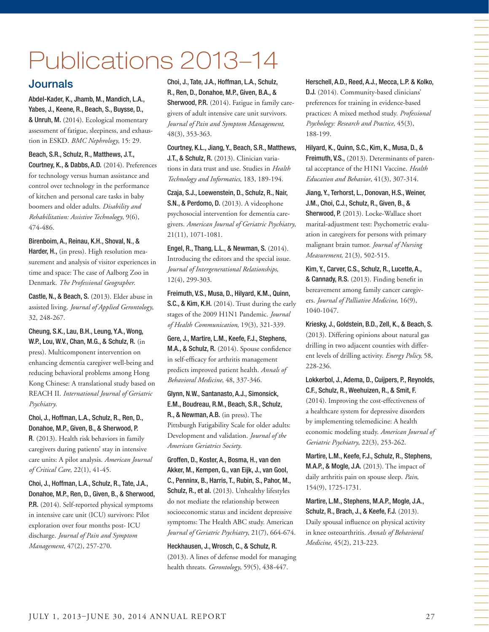# Publications 2013–14

# **Journals**

Abdel-Kader, K., Jhamb, M., Mandich, L.A., Yabes, J., Keene, R., Beach, S., Buysse, D., & Unruh, M. (2014). Ecological momentary assessment of fatigue, sleepiness, and exhaustion in ESKD. *BMC Nephrology*, 15: 29.

Beach, S.R., Schulz, R., Matthews, J.T., Courtney, K., & Dabbs, A.D. (2014). Preferences for technology versus human assistance and control over technology in the performance of kitchen and personal care tasks in baby boomers and older adults. *Disability and Rehabilitation: Assistive Technology*, 9(6), 474-486.

Birenboim, A., Reinau, K.H., Shoval, N., & Harder, H., (in press). High resolution measurement and analysis of visitor experiences in time and space: The case of Aalborg Zoo in Denmark. *The Professional Geographer*.

Castle, N., & Beach, S. (2013). Elder abuse in assisted living. *Journal of Applied Gerontology*, 32, 248-267.

Cheung, S.K., Lau, B.H., Leung, Y.A., Wong, W.P., Lou, W.V., Chan, M.G., & Schulz, R. (in press). Multicomponent intervention on enhancing dementia caregiver well-being and reducing behavioral problems among Hong Kong Chinese: A translational study based on REACH II. *International Journal of Geriatric Psychiatry*.

Choi, J., Hoffman, L.A., Schulz, R., Ren, D., Donahoe, M.P., Given, B., & Sherwood, P.

R. (2013). Health risk behaviors in family caregivers during patients' stay in intensive care units: A pilot analysis. *American Journal of Critical Care*, 22(1), 41-45.

Choi, J., Hoffman, L.A., Schulz, R., Tate, J.A., Donahoe, M.P., Ren, D., Given, B., & Sherwood, P.R. (2014). Self-reported physical symptoms in intensive care unit (ICU) survivors: Pilot exploration over four months post- ICU discharge. *Journal of Pain and Symptom Management*, 47(2), 257-270.

Choi, J., Tate, J.A., Hoffman, L.A., Schulz, R., Ren, D., Donahoe, M.P., Given, B.A., & Sherwood, P.R. (2014). Fatigue in family caregivers of adult intensive care unit survivors. *Journal of Pain and Symptom Management,* 48(3), 353-363.

Courtney, K.L., Jiang, Y., Beach, S.R., Matthews, J.T., & Schulz, R. (2013). Clinician variations in data trust and use. Studies in *Health Technology and Informatics*, 183, 189-194.

Czaja, S.J., Loewenstein, D., Schulz, R., Nair, S.N., & Perdomo, D. (2013). A videophone psychosocial intervention for dementia caregivers. *American Journal of Geriatric Psychiatry*, 21(11), 1071-1081.

Engel, R., Thang, L.L., & Newman, S. (2014). Introducing the editors and the special issue. *Journal of Intergenerational Relationships*, 12(4), 299-303.

Freimuth, V.S., Musa, D., Hilyard, K.M., Quinn, S.C., & Kim, K.H. (2014). Trust during the early stages of the 2009 H1N1 Pandemic. *Journal of Health Communication*, 19(3), 321-339.

Gere, J., Martire, L.M., Keefe, F.J., Stephens, M.A., & Schulz, R. (2014). Spouse confidence in self-efficacy for arthritis management predicts improved patient health. *Annals of Behavioral Medicine*, 48, 337-346.

Glynn, N.W., Santanasto, A.J., Simonsick, E.M., Boudreau, R.M., Beach, S.R., Schulz, R., & Newman, A.B. (in press). The Pittsburgh Fatigability Scale for older adults: Development and validation. *Journal of the American Geriatrics Society*.

Groffen, D., Koster, A., Bosma, H., van den Akker, M., Kempen, G., van Eijk, J., van Gool, C., Penninx, B., Harris, T., Rubin, S., Pahor, M., Schulz, R., et al. (2013). Unhealthy lifestyles do not mediate the relationship between socioeconomic status and incident depressive symptoms: The Health ABC study. American *Journal of Geriatric Psychiatry*, 21(7), 664-674.

Heckhausen, J., Wrosch, C., & Schulz, R. (2013). A lines of defense model for managing health threats. *Gerontology*, 59(5), 438-447.

Herschell, A.D., Reed, A.J., Mecca, L.P. & Kolko, D.J. (2014). Community-based clinicians' preferences for training in evidence-based practices: A mixed method study. *Professional Psychology: Research and Practice*, 45(3), 188-199.

Hilyard, K., Quinn, S.C., Kim, K., Musa, D., & Freimuth, V.S., (2013). Determinants of parental acceptance of the H1N1 Vaccine. *Health Education and Behavior*, 41(3), 307-314.

Jiang, Y., Terhorst, L., Donovan, H.S., Weiner, J.M., Choi, C.J., Schulz, R., Given, B., & Sherwood, P. (2013). Locke-Wallace short marital-adjustment test: Psychometric evaluation in caregivers for persons with primary malignant brain tumor. *Journal of Nursing Measurement*, 21(3), 502-515.

Kim, Y., Carver, C.S., Schulz, R., Lucette, A., & Cannady, R.S. (2013). Finding benefit in bereavement among family cancer caregivers. *Journal of Palliative Medicine*, 16(9), 1040-1047.

Kriesky, J., Goldstein, B.D., Zell, K., & Beach, S. (2013). Differing opinions about natural gas drilling in two adjacent counties with different levels of drilling activity. *Energy Policy,* 58, 228-236.

Lokkerbol, J., Adema, D., Cuijpers, P., Reynolds, C.F., Schulz, R., Weehuizen, R., & Smit, F. (2014). Improving the cost-effectiveness of a healthcare system for depressive disorders by implementing telemedicine: A health economic modeling study. *American Journal of Geriatric Psychiatry*, 22(3), 253-262.

Martire, L.M., Keefe, F.J., Schulz, R., Stephens, M.A.P., & Mogle, J.A. (2013). The impact of daily arthritis pain on spouse sleep. *Pain*, 154(9), 1725-1731.

Martire, L.M., Stephens, M.A.P., Mogle, J.A., Schulz, R., Brach, J., & Keefe, F.J. (2013). Daily spousal influence on physical activity in knee osteoarthritis. *Annals of Behavioral Medicine*, 45(2), 213-223.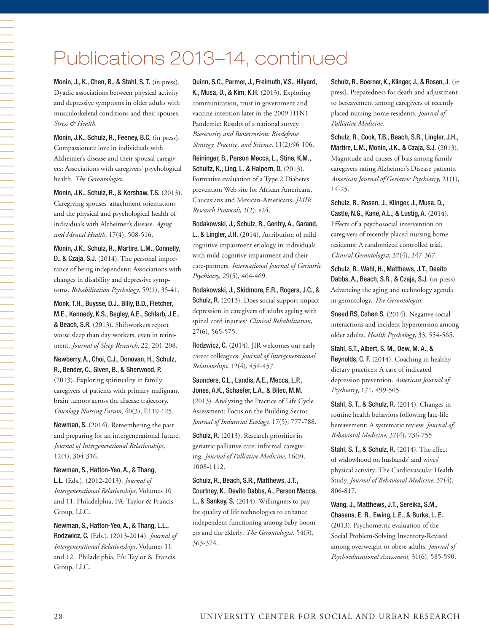# Publications 2013–14, continued

Monin, J., K., Chen, B., & Stahl, S. T. (in press). Dyadic associations between physical activity and depressive symptoms in older adults with musculoskeletal conditions and their spouses. *Stress & Health*.

Monin, J.K., Schulz, R., Feeney, B.C. (in press). Compassionate love in individuals with Alzheimer's disease and their spousal caregivers: Associations with caregivers' psychological health. *The Gerontologist*.

Monin, J.K., Schulz, R., & Kershaw, T.S. (2013). Caregiving spouses' attachment orientations and the physical and psychological health of individuals with Alzheimer's disease. *Aging and Mental Health*, 17(4), 508-516.

Monin, J.K., Schulz, R., Martire, L.M., Connelly, D., & Czaja, S.J. (2014). The personal importance of being independent: Associations with changes in disability and depressive symptoms. *Rehabilitation Psychology*, 59(1), 35-41.

Monk, T.H., Buysse, D.J., Billy, B.D., Fletcher, M.E., Kennedy, K.S., Begley, A.E., Schlarb, J.E., & Beach, S.R. (2013). Shiftworkers report worse sleep than day workers, even in retirement. *Journal of Sleep Research*, 22, 201-208.

Newberry, A., Choi, C.J., Donovan, H., Schulz, R., Bender, C., Given, B., & Sherwood, P. (2013). Exploring spirituality in family caregivers of patients with primary malignant brain tumors across the disease trajectory. *Oncology Nursing Forum*, 40(3), E119-125.

Newman, S. (2014). Remembering the past and preparing for an intergenerational future. *Journal of Intergenerational Relationships*, 12(4), 304-316.

Newman, S., Hatton-Yeo, A., & Thang, L.L. (Eds.). (2012-2013). *Journal of Intergenerational Relationships*, Volumes 10 and 11. Philadelphia, PA: Taylor & Francis Group, LLC.

Newman, S., Hatton-Yeo, A., & Thang, L.L., Rodzwicz, C. (Eds.). (2013-2014). *Journal of Intergenerational Relationships*, Volumes 11 and 12. Philadelphia, PA: Taylor & Francis Group, LLC.

Quinn, S.C., Parmer, J., Freimuth, V.S., Hilyard, K., Musa, D., & Kim, K.H. (2013). Exploring communication, trust in government and vaccine intention later in the 2009 H1N1 Pandemic: Results of a national survey. *Biosecurity and Bioterrorism: Biodefense Strategy, Practice, and Science*, 11(2):96-106.

Reininger, B., Person Mecca, L., Stine, K.M., Schultz, K., Ling, L. & Halpern, D. (2013). Formative evaluation of a Type 2 Diabetes prevention Web site for African Americans, Caucasians and Mexican-Americans. *JMIR Research Protocols*, 2(2): e24.

Rodakowski, J., Schulz, R., Gentry, A., Garand, L., & Lingler, J.H. (2014). Attribution of mild cognitive impairment etiology in individuals with mild cognitive impairment and their care-partners. *International Journal of Geriatric Psychiatry*, 29(5), 464-469.

Rodakowski, J., Skidmore, E.R., Rogers, J.C., & Schulz, R. (2013). Does social support impact depression in caregivers of adults ageing with spinal cord injuries? *Clinical Rehabilitation*, 27(6), 565-575.

Rodzwicz, C. (2014). JIR welcomes our early career colleagues. *Journal of Intergenerational Relationships*, 12(4), 454-457.

Saunders, C.L., Landis, A.E., Mecca, L.P., Jones, A.K., Schaefer, L.A., & Bilec, M.M. (2013). Analyzing the Practice of Life Cycle Assessment: Focus on the Building Sector. *Journal of Industrial Ecology*, 17(5), 777-788.

Schulz, R. (2013). Research priorities in geriatric palliative care: informal caregiving. *Journal of Palliative Medicine*, 16(9), 1008-1112.

Schulz, R., Beach, S.R., Matthews, J.T., Courtney, K., Devito Dabbs, A., Person Mecca, L., & Sankey, S. (2014). Willingness to pay for quality of life technologies to enhance independent functioning among baby boomers and the elderly. *The Gerontologist*, 54(3), 363-374.

Schulz, R., Boerner, K., Klinger, J., & Rosen, J. (in press). Preparedness for death and adjustment to bereavement among caregivers of recently placed nursing home residents. *Journal of Palliative Medicine*.

Schulz, R., Cook, T.B., Beach, S.R., Lingler, J.H., Martire, L.M., Monin, J.K., & Czaja, S.J. (2013). Magnitude and causes of bias among family caregivers rating Alzheimer's Disease patients. *American Journal of Geriatric Psychiatry*, 21(1), 14-25.

Schulz, R., Rosen, J., Klinger, J., Musa, D., Castle, N.G., Kane, A.L., & Lustig, A. (2014). Effects of a psychosocial intervention on caregivers of recently placed nursing home residents: A randomized controlled trial. *Clinical Gerontologist*, 37(4), 347-367.

Schulz, R., Wahl, H., Matthews, J.T., Deeito Dabbs, A., Beach, S.R., & Czaja, S.J. (in press). Advancing the aging and technology agenda in gerontology. *The Gerontologist*.

Sneed RS, Cohen S. (2014). Negative social interactions and incident hypertension among older adults. *Health Psychology*, 33, 554-565.

Stahl, S.T., Albert, S. M., Dew, M. A., & Reynolds, C. F. (2014). Coaching in healthy dietary practices: A case of indicated depression prevention. *American Journal of Psychiatry*, 171, 499-505.

Stahl, S. T., & Schulz, R. (2014). Changes in routine health behaviors following late-life bereavement: A systematic review. *Journal of Behavioral Medicine*, 37(4), 736-755.

Stahl, S. T., & Schulz, R. (2014). The effect of widowhood on husbands' and wives' physical activity: The Cardiovascular Health Study. *Journal of Behavioral Medicine*, 37(4), 806-817.

Wang, J., Matthews, J.T., Sereika, S.M., Chasens, E. R., Ewing, L.E., & Burke, L. E. (2013). Psychometric evaluation of the Social Problem-Solving Inventory-Revised among overweight or obese adults. *Journal of Psychoeducational Assessment*, 31(6), 585-590.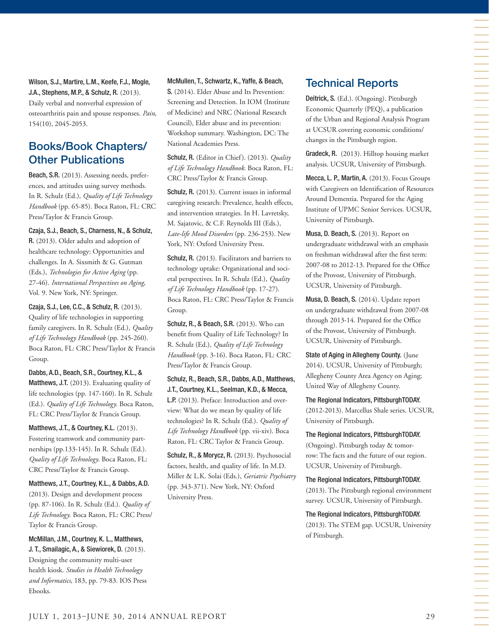Wilson, S.J., Martire, L.M., Keefe, F.J., Mogle, J.A., Stephens, M.P., & Schulz, R. (2013). Daily verbal and nonverbal expression of osteoarthritis pain and spouse responses. *Pain*, 154(10), 2045-2053.

# Books/Book Chapters/ Other Publications

Beach, S.R. (2013). Assessing needs, preferences, and attitudes using survey methods. In R. Schulz (Ed.), *Quality of Life Technology Handbook* (pp. 65-85). Boca Raton, FL: CRC Press/Taylor & Francis Group.

Czaja, S.J., Beach, S., Charness, N., & Schulz, R. (2013). Older adults and adoption of healthcare technology: Opportunities and challenges. In A. Sixsmith & G. Gutman (Eds.), *Technologies for Active Aging* (pp. 27-46). *International Perspectives on Aging*, Vol. 9. New York, NY: Springer.

Czaja, S.J., Lee, C.C., & Schulz, R. (2013). Quality of life technologies in supporting family caregivers. In R. Schulz (Ed.), *Quality of Life Technology Handbook* (pp. 245-260). Boca Raton, FL: CRC Press/Taylor & Francis Group.

Dabbs, A.D., Beach, S.R., Courtney, K.L., & Matthews, J.T. (2013). Evaluating quality of life technologies (pp. 147-160). In R. Schulz (Ed.). *Quality of Life Technology*. Boca Raton, FL: CRC Press/Taylor & Francis Group.

Matthews, J.T., & Courtney, K.L. (2013). Fostering teamwork and community partnerships (pp.133-145). In R. Schulz (Ed.). *Quality of Life Technology*. Boca Raton, FL: CRC Press/Taylor & Francis Group.

Matthews, J.T., Courtney, K.L., & Dabbs, A.D. (2013). Design and development process (pp. 87-106). In R. Schulz (Ed.). *Quality of Life Technology*. Boca Raton, FL: CRC Press/ Taylor & Francis Group.

McMillan, J.M., Courtney, K. L., Matthews, J. T., Smailagic, A., & Siewiorek, D. (2013). Designing the community multi-user health kiosk. *Studies in Health Technology and Informatics*, 183, pp. 79-83. IOS Press Ebooks.

McMullen, T., Schwartz, K., Yaffe, & Beach,

S. (2014). Elder Abuse and Its Prevention: Screening and Detection. In IOM (Institute of Medicine) and NRC (National Research Council), Elder abuse and its prevention: Workshop summary. Washington, DC: The National Academies Press.

Schulz, R. (Editor in Chief). (2013). *Quality of Life Technology Handbook*. Boca Raton, FL: CRC Press/Taylor & Francis Group.

Schulz, R. (2013). Current issues in informal caregiving research: Prevalence, health effects, and intervention strategies. In H. Lavretsky, M. Sajatovic, & C.F. Reynolds III (Eds.), *Late-life Mood Disorders* (pp. 236-253). New York, NY: Oxford University Press.

Schulz, R. (2013). Facilitators and barriers to technology uptake: Organizational and societal perspectives. In R. Schulz (Ed.), *Quality of Life Technology Handbook* (pp. 17-27). Boca Raton, FL: CRC Press/Taylor & Francis Group.

Schulz, R., & Beach, S.R. (2013). Who can benefit from Quality of Life Technology? In R. Schulz (Ed.), *Quality of Life Technology Handbook* (pp. 3-16). Boca Raton, FL: CRC Press/Taylor & Francis Group.

Schulz, R., Beach, S.R., Dabbs, A.D., Matthews, J.T., Courtney, K.L., Seelman, K.D., & Mecca, L.P. (2013). Preface: Introduction and overview: What do we mean by quality of life technologies? In R. Schulz (Ed.). *Quality of Life Technology Handbook* (pp. vii-xiv). Boca Raton, FL: CRC Taylor & Francis Group.

Schulz, R., & Morycz, R. (2013). Psychosocial factors, health, and quality of life. In M.D. Miller & L.K. Solai (Eds.), *Geriatric Psychiatry* (pp. 343-371). New York, NY: Oxford University Press.

# Technical Reports

Deitrick, S. (Ed.). (Ongoing). Pittsburgh Economic Quarterly (PEQ), a publication of the Urban and Regional Analysis Program at UCSUR covering economic conditions/ changes in the Pittsburgh region.

Gradeck, R. (2013). Hilltop housing market analysis. UCSUR, University of Pittsburgh.

Mecca, L. P., Martin, A. (2013). Focus Groups with Caregivers on Identification of Resources Around Dementia. Prepared for the Aging Institute of UPMC Senior Services. UCSUR, University of Pittsburgh.

Musa, D. Beach, S. (2013). Report on undergraduate withdrawal with an emphasis on freshman withdrawal after the first term: 2007-08 to 2012-13. Prepared for the Office of the Provost, University of Pittsburgh. UCSUR, University of Pittsburgh.

Musa, D. Beach, S. (2014). Update report on undergraduate withdrawal from 2007-08 through 2013-14. Prepared for the Office of the Provost, University of Pittsburgh. UCSUR, University of Pittsburgh.

State of Aging in Allegheny County. (June 2014). UCSUR, University of Pittsburgh; Allegheny County Area Agency on Aging; United Way of Allegheny County.

The Regional Indicators, PittsburghTODAY. (2012-2013). Marcellus Shale series. UCSUR, University of Pittsburgh.

The Regional Indicators, PittsburghTODAY.

(Ongoing). Pittsburgh today & tomorrow: The facts and the future of our region. UCSUR, University of Pittsburgh.

The Regional Indicators, PittsburghTODAY.

(2013). The Pittsburgh regional environment survey. UCSUR, University of Pittsburgh.

The Regional Indicators, PittsburghTODAY. (2013). The STEM gap. UCSUR, University of Pittsburgh.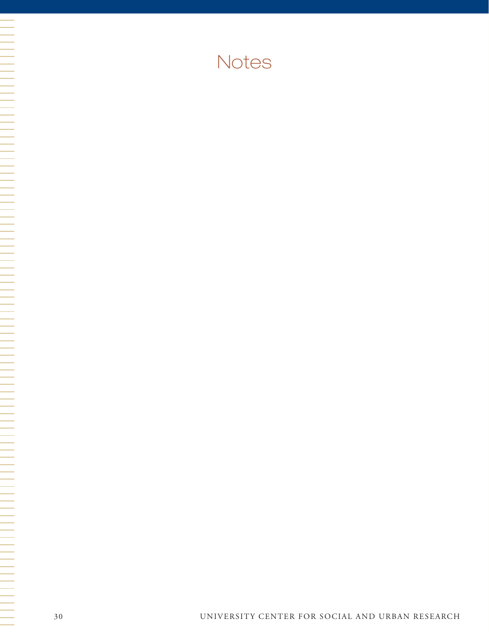# Notes

N HE SERIE DE LA PERSONA DE LA PROPERTATIVA DE LA PROPERTATIVA DE LA PROPERTATIVA DE LA PROPERTATIVA DE LA PRO